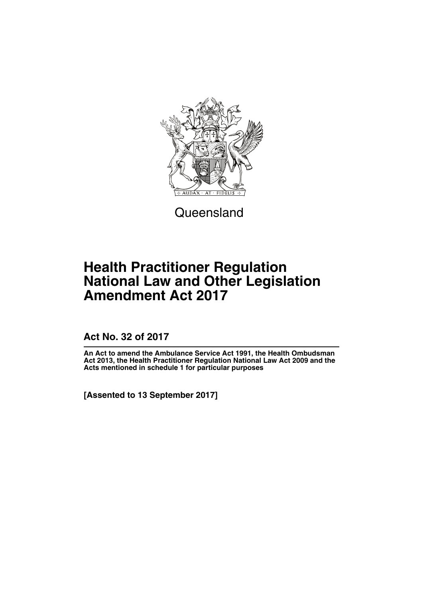

**Queensland** 

# **Health Practitioner Regulation National Law and Other Legislation Amendment Act 2017**

**Act No. 32 of 2017**

**An Act to amend the Ambulance Service Act 1991, the Health Ombudsman Act 2013, the Health Practitioner Regulation National Law Act 2009 and the Acts mentioned in schedule 1 for particular purposes**

**[Assented to 13 September 2017]**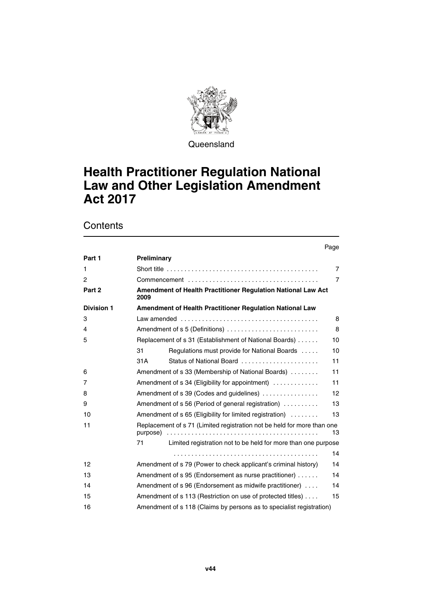

**Queensland** 

# **Health Practitioner Regulation National Law and Other Legislation Amendment Act 2017**

**Contents** 

|                   |                                                                                            | Page           |  |
|-------------------|--------------------------------------------------------------------------------------------|----------------|--|
| Part 1            | Preliminary                                                                                |                |  |
| 1                 | Short title $\ldots \ldots \ldots \ldots \ldots \ldots \ldots \ldots \ldots \ldots \ldots$ | $\overline{7}$ |  |
| $\overline{c}$    |                                                                                            | $\overline{7}$ |  |
| Part 2            | Amendment of Health Practitioner Regulation National Law Act<br>2009                       |                |  |
| <b>Division 1</b> | Amendment of Health Practitioner Regulation National Law                                   |                |  |
| 3                 |                                                                                            | 8              |  |
| 4                 | Amendment of s 5 (Definitions)<br>8                                                        |                |  |
| 5                 | Replacement of s 31 (Establishment of National Boards)                                     | 10             |  |
|                   | Regulations must provide for National Boards<br>31                                         | 10             |  |
|                   | Status of National Board<br>31A                                                            | 11             |  |
| 6                 | Amendment of s 33 (Membership of National Boards)                                          | 11             |  |
| 7                 | Amendment of s 34 (Eligibility for appointment)                                            | 11             |  |
| 8                 | Amendment of s 39 (Codes and guidelines)                                                   | 12             |  |
| 9                 | Amendment of s 56 (Period of general registration)                                         | 13             |  |
| 10                | Amendment of s 65 (Eligibility for limited registration)                                   | 13             |  |
| 11                | Replacement of s 71 (Limited registration not be held for more than one<br>purpose)        | 13             |  |
|                   | Limited registration not to be held for more than one purpose<br>71                        |                |  |
|                   |                                                                                            | 14             |  |
| 12                | Amendment of s 79 (Power to check applicant's criminal history)                            | 14             |  |
| 13                | Amendment of s 95 (Endorsement as nurse practitioner)                                      | 14             |  |
| 14                | Amendment of s 96 (Endorsement as midwife practitioner)                                    | 14             |  |
| 15                | Amendment of s 113 (Restriction on use of protected titles)                                | 15             |  |
| 16                | Amendment of s 118 (Claims by persons as to specialist registration)                       |                |  |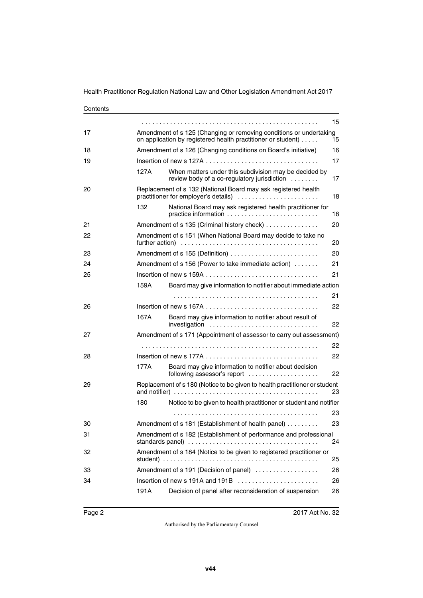|                                                                                                                                          |                                                                                                      | 15                                                                                                                                                                                                                                                                                                                                                                                                                                                                                                                                                                                                                                                                                                                                                 |  |
|------------------------------------------------------------------------------------------------------------------------------------------|------------------------------------------------------------------------------------------------------|----------------------------------------------------------------------------------------------------------------------------------------------------------------------------------------------------------------------------------------------------------------------------------------------------------------------------------------------------------------------------------------------------------------------------------------------------------------------------------------------------------------------------------------------------------------------------------------------------------------------------------------------------------------------------------------------------------------------------------------------------|--|
| Amendment of s 125 (Changing or removing conditions or undertaking<br>on application by registered health practitioner or student)<br>15 |                                                                                                      |                                                                                                                                                                                                                                                                                                                                                                                                                                                                                                                                                                                                                                                                                                                                                    |  |
| Amendment of s 126 (Changing conditions on Board's initiative)<br>16                                                                     |                                                                                                      |                                                                                                                                                                                                                                                                                                                                                                                                                                                                                                                                                                                                                                                                                                                                                    |  |
|                                                                                                                                          |                                                                                                      | 17                                                                                                                                                                                                                                                                                                                                                                                                                                                                                                                                                                                                                                                                                                                                                 |  |
| 127A                                                                                                                                     | When matters under this subdivision may be decided by<br>review body of a co-regulatory jurisdiction | 17                                                                                                                                                                                                                                                                                                                                                                                                                                                                                                                                                                                                                                                                                                                                                 |  |
|                                                                                                                                          |                                                                                                      | 18                                                                                                                                                                                                                                                                                                                                                                                                                                                                                                                                                                                                                                                                                                                                                 |  |
| 132                                                                                                                                      | National Board may ask registered health practitioner for<br>practice information                    | 18                                                                                                                                                                                                                                                                                                                                                                                                                                                                                                                                                                                                                                                                                                                                                 |  |
|                                                                                                                                          |                                                                                                      | 20                                                                                                                                                                                                                                                                                                                                                                                                                                                                                                                                                                                                                                                                                                                                                 |  |
| Amendment of s 151 (When National Board may decide to take no<br>20                                                                      |                                                                                                      |                                                                                                                                                                                                                                                                                                                                                                                                                                                                                                                                                                                                                                                                                                                                                    |  |
|                                                                                                                                          |                                                                                                      | 20                                                                                                                                                                                                                                                                                                                                                                                                                                                                                                                                                                                                                                                                                                                                                 |  |
|                                                                                                                                          |                                                                                                      | 21                                                                                                                                                                                                                                                                                                                                                                                                                                                                                                                                                                                                                                                                                                                                                 |  |
|                                                                                                                                          |                                                                                                      | 21                                                                                                                                                                                                                                                                                                                                                                                                                                                                                                                                                                                                                                                                                                                                                 |  |
| 159A                                                                                                                                     | Board may give information to notifier about immediate action                                        |                                                                                                                                                                                                                                                                                                                                                                                                                                                                                                                                                                                                                                                                                                                                                    |  |
|                                                                                                                                          |                                                                                                      | 21                                                                                                                                                                                                                                                                                                                                                                                                                                                                                                                                                                                                                                                                                                                                                 |  |
|                                                                                                                                          |                                                                                                      | 22                                                                                                                                                                                                                                                                                                                                                                                                                                                                                                                                                                                                                                                                                                                                                 |  |
| 167A                                                                                                                                     | Board may give information to notifier about result of<br>investigation                              | 22                                                                                                                                                                                                                                                                                                                                                                                                                                                                                                                                                                                                                                                                                                                                                 |  |
|                                                                                                                                          |                                                                                                      |                                                                                                                                                                                                                                                                                                                                                                                                                                                                                                                                                                                                                                                                                                                                                    |  |
|                                                                                                                                          |                                                                                                      | 22                                                                                                                                                                                                                                                                                                                                                                                                                                                                                                                                                                                                                                                                                                                                                 |  |
|                                                                                                                                          |                                                                                                      | 22                                                                                                                                                                                                                                                                                                                                                                                                                                                                                                                                                                                                                                                                                                                                                 |  |
| 177A                                                                                                                                     | Board may give information to notifier about decision<br>following assessor's report                 | 22                                                                                                                                                                                                                                                                                                                                                                                                                                                                                                                                                                                                                                                                                                                                                 |  |
|                                                                                                                                          |                                                                                                      | 23                                                                                                                                                                                                                                                                                                                                                                                                                                                                                                                                                                                                                                                                                                                                                 |  |
| 180                                                                                                                                      | Notice to be given to health practitioner or student and notifier                                    |                                                                                                                                                                                                                                                                                                                                                                                                                                                                                                                                                                                                                                                                                                                                                    |  |
|                                                                                                                                          |                                                                                                      | 23                                                                                                                                                                                                                                                                                                                                                                                                                                                                                                                                                                                                                                                                                                                                                 |  |
|                                                                                                                                          |                                                                                                      | 23                                                                                                                                                                                                                                                                                                                                                                                                                                                                                                                                                                                                                                                                                                                                                 |  |
| Amendment of s 182 (Establishment of performance and professional<br>24                                                                  |                                                                                                      |                                                                                                                                                                                                                                                                                                                                                                                                                                                                                                                                                                                                                                                                                                                                                    |  |
|                                                                                                                                          |                                                                                                      | 25                                                                                                                                                                                                                                                                                                                                                                                                                                                                                                                                                                                                                                                                                                                                                 |  |
|                                                                                                                                          |                                                                                                      | 26                                                                                                                                                                                                                                                                                                                                                                                                                                                                                                                                                                                                                                                                                                                                                 |  |
|                                                                                                                                          |                                                                                                      | 26                                                                                                                                                                                                                                                                                                                                                                                                                                                                                                                                                                                                                                                                                                                                                 |  |
| 191A                                                                                                                                     | Decision of panel after reconsideration of suspension                                                | 26                                                                                                                                                                                                                                                                                                                                                                                                                                                                                                                                                                                                                                                                                                                                                 |  |
|                                                                                                                                          |                                                                                                      | Replacement of s 132 (National Board may ask registered health<br>practitioner for employer's details)<br>Amendment of s 135 (Criminal history check)<br>Amendment of s 155 (Definition)<br>Amendment of s 156 (Power to take immediate action)<br>Amendment of s 171 (Appointment of assessor to carry out assessment)<br>Replacement of s 180 (Notice to be given to health practitioner or student<br>Amendment of s 181 (Establishment of health panel)<br>Amendment of s 184 (Notice to be given to registered practitioner or<br>student) $\ldots \ldots \ldots \ldots \ldots \ldots \ldots \ldots \ldots \ldots \ldots \ldots$<br>Amendment of s 191 (Decision of panel)<br>Insertion of new s 191A and 191B $\ldots$ , $\ldots$ , $\ldots$ |  |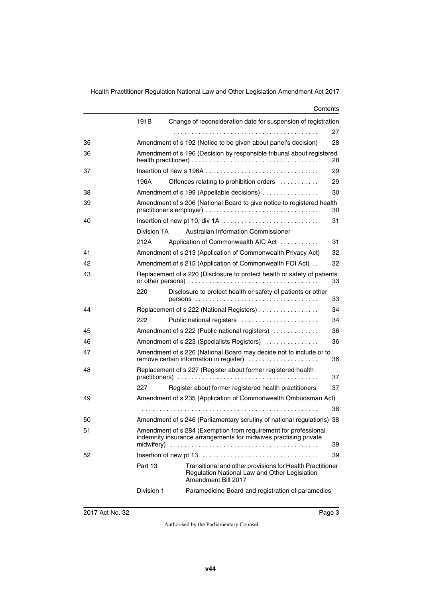#### **Contents**

|    | 191B                                                                                                                                | Change of reconsideration date for suspension of registration                                                                     |          |  |  |
|----|-------------------------------------------------------------------------------------------------------------------------------------|-----------------------------------------------------------------------------------------------------------------------------------|----------|--|--|
|    |                                                                                                                                     |                                                                                                                                   | 27       |  |  |
| 35 |                                                                                                                                     | Amendment of s 192 (Notice to be given about panel's decision)                                                                    | 28       |  |  |
| 36 | Amendment of s 196 (Decision by responsible tribunal about registered<br>28                                                         |                                                                                                                                   |          |  |  |
| 37 |                                                                                                                                     |                                                                                                                                   | 29       |  |  |
|    | 196A                                                                                                                                | Offences relating to prohibition orders                                                                                           | 29       |  |  |
| 38 |                                                                                                                                     | Amendment of s 199 (Appellable decisions)                                                                                         | 30       |  |  |
| 39 |                                                                                                                                     | Amendment of s 206 (National Board to give notice to registered health                                                            | 30       |  |  |
| 40 |                                                                                                                                     | Insertion of new pt 10, div 1A                                                                                                    | 31       |  |  |
|    | Division 1A                                                                                                                         | Australian Information Commissioner                                                                                               |          |  |  |
|    | 212A                                                                                                                                | Application of Commonwealth AIC Act                                                                                               | 31       |  |  |
| 41 |                                                                                                                                     | Amendment of s 213 (Application of Commonwealth Privacy Act)                                                                      | 32       |  |  |
| 42 |                                                                                                                                     | Amendment of s 215 (Application of Commonwealth FOI Act)                                                                          | 32       |  |  |
| 43 | Replacement of s 220 (Disclosure to protect health or safety of patients<br>33                                                      |                                                                                                                                   |          |  |  |
|    | 220                                                                                                                                 | Disclosure to protect health or safety of patients or other                                                                       | 33       |  |  |
| 44 |                                                                                                                                     | Replacement of s 222 (National Registers)                                                                                         | 34       |  |  |
|    | 222                                                                                                                                 | Public national registers                                                                                                         | 34       |  |  |
| 45 |                                                                                                                                     | Amendment of s 222 (Public national registers)                                                                                    | 36       |  |  |
| 46 |                                                                                                                                     | Amendment of s 223 (Specialists Registers)                                                                                        | 36       |  |  |
| 47 | Amendment of s 226 (National Board may decide not to include or to<br>remove certain information in register)<br>36                 |                                                                                                                                   |          |  |  |
| 48 |                                                                                                                                     | Replacement of s 227 (Register about former registered health                                                                     | 37       |  |  |
|    | 227                                                                                                                                 | Register about former registered health practitioners                                                                             | 37       |  |  |
| 49 |                                                                                                                                     | Amendment of s 235 (Application of Commonwealth Ombudsman Act)                                                                    |          |  |  |
|    |                                                                                                                                     |                                                                                                                                   | 38       |  |  |
| 50 |                                                                                                                                     | Amendment of s 246 (Parliamentary scrutiny of national regulations) 38                                                            |          |  |  |
| 51 | Amendment of s 284 (Exemption from requirement for professional<br>indemnity insurance arrangements for midwives practising private |                                                                                                                                   |          |  |  |
| 52 | midwifery)                                                                                                                          |                                                                                                                                   | 39<br>39 |  |  |
|    |                                                                                                                                     |                                                                                                                                   |          |  |  |
|    | Part 13                                                                                                                             | Transitional and other provisions for Health Practitioner<br>Regulation National Law and Other Legislation<br>Amendment Bill 2017 |          |  |  |
|    | Division 1                                                                                                                          | Paramedicine Board and registration of paramedics                                                                                 |          |  |  |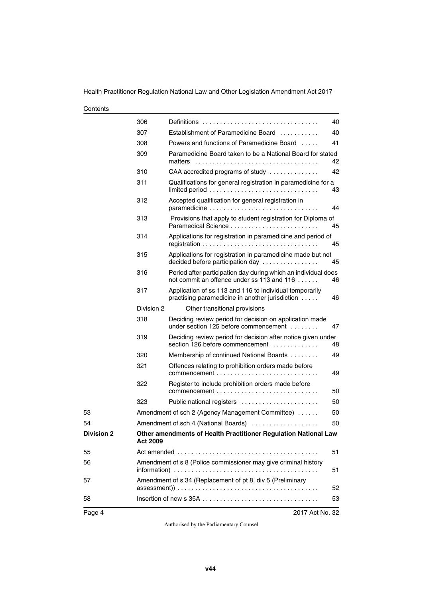#### **Contents**

|                   | 306             | Definitions $\ldots \ldots \ldots \ldots \ldots \ldots \ldots \ldots \ldots \ldots$                          | 40 |  |
|-------------------|-----------------|--------------------------------------------------------------------------------------------------------------|----|--|
|                   | 307             | Establishment of Paramedicine Board                                                                          | 40 |  |
|                   | 308             | Powers and functions of Paramedicine Board                                                                   | 41 |  |
|                   | 309             | Paramedicine Board taken to be a National Board for stated<br>matters                                        | 42 |  |
|                   | 310             | CAA accredited programs of study                                                                             | 42 |  |
|                   | 311             | Qualifications for general registration in paramedicine for a                                                | 43 |  |
|                   | 312             | Accepted qualification for general registration in                                                           | 44 |  |
|                   | 313             | Provisions that apply to student registration for Diploma of                                                 | 45 |  |
|                   | 314             | Applications for registration in paramedicine and period of                                                  | 45 |  |
|                   | 315             | Applications for registration in paramedicine made but not<br>decided before participation day               | 45 |  |
|                   | 316             | Period after participation day during which an individual does<br>not commit an offence under ss 113 and 116 | 46 |  |
|                   | 317             | Application of ss 113 and 116 to individual temporarily<br>practising paramedicine in another jurisdiction   | 46 |  |
|                   | Division 2      | Other transitional provisions                                                                                |    |  |
|                   | 318             | Deciding review period for decision on application made<br>under section 125 before commencement             | 47 |  |
|                   | 319             | Deciding review period for decision after notice given under<br>section 126 before commencement              | 48 |  |
|                   | 320             | Membership of continued National Boards                                                                      | 49 |  |
|                   | 321             | Offences relating to prohibition orders made before                                                          | 49 |  |
|                   | 322             | Register to include prohibition orders made before                                                           | 50 |  |
|                   | 323             | Public national registers                                                                                    | 50 |  |
| 53                |                 | Amendment of sch 2 (Agency Management Committee)                                                             | 50 |  |
| 54                |                 | Amendment of sch 4 (National Boards)                                                                         | 50 |  |
| <b>Division 2</b> | <b>Act 2009</b> | Other amendments of Health Practitioner Regulation National Law                                              |    |  |
| 55                |                 |                                                                                                              | 51 |  |
| 56                |                 | Amendment of s 8 (Police commissioner may give criminal history<br>51                                        |    |  |
| 57                |                 | Amendment of s 34 (Replacement of pt 8, div 5 (Preliminary                                                   | 52 |  |
| 58                |                 |                                                                                                              | 53 |  |
| Page 4            |                 | 2017 Act No. 32                                                                                              |    |  |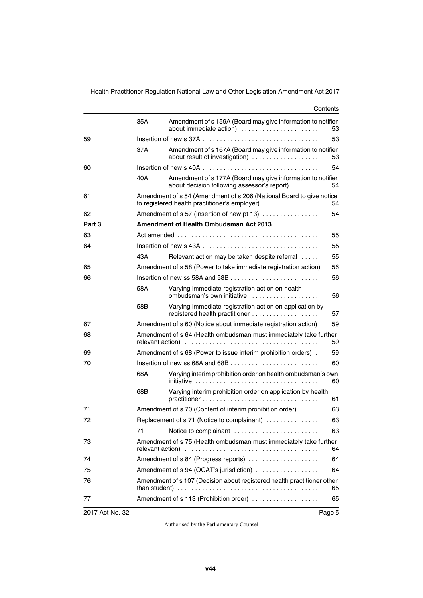|        |                                                                                                                               | Contents                                                                                                                                                                       |    |  |  |  |
|--------|-------------------------------------------------------------------------------------------------------------------------------|--------------------------------------------------------------------------------------------------------------------------------------------------------------------------------|----|--|--|--|
|        | 35A                                                                                                                           | Amendment of s 159A (Board may give information to notifier<br>about immediate action)                                                                                         | 53 |  |  |  |
| 59     | 53<br>Insertion of new s 37A $\ldots$ , $\ldots$ , $\ldots$ , $\ldots$ , $\ldots$ , $\ldots$ , $\ldots$ , $\ldots$ , $\ldots$ |                                                                                                                                                                                |    |  |  |  |
|        | 37A                                                                                                                           | Amendment of s 167A (Board may give information to notifier<br>about result of investigation)                                                                                  | 53 |  |  |  |
| 60     |                                                                                                                               | 54                                                                                                                                                                             |    |  |  |  |
|        | 40A                                                                                                                           | Amendment of s 177A (Board may give information to notifier<br>about decision following assessor's report)                                                                     | 54 |  |  |  |
| 61     |                                                                                                                               | Amendment of s 54 (Amendment of s 206 (National Board to give notice<br>to registered health practitioner's employer)                                                          | 54 |  |  |  |
| 62     |                                                                                                                               | Amendment of s 57 (Insertion of new pt 13)                                                                                                                                     | 54 |  |  |  |
| Part 3 |                                                                                                                               | Amendment of Health Ombudsman Act 2013                                                                                                                                         |    |  |  |  |
| 63     |                                                                                                                               | 55                                                                                                                                                                             |    |  |  |  |
| 64     |                                                                                                                               |                                                                                                                                                                                | 55 |  |  |  |
|        | 43A                                                                                                                           | Relevant action may be taken despite referral                                                                                                                                  | 55 |  |  |  |
| 65     |                                                                                                                               | Amendment of s 58 (Power to take immediate registration action)                                                                                                                | 56 |  |  |  |
| 66     |                                                                                                                               |                                                                                                                                                                                | 56 |  |  |  |
|        | 58A                                                                                                                           | Varying immediate registration action on health<br>ombudsman's own initiative                                                                                                  | 56 |  |  |  |
|        | 58B                                                                                                                           | Varying immediate registration action on application by                                                                                                                        | 57 |  |  |  |
| 67     |                                                                                                                               | Amendment of s 60 (Notice about immediate registration action)                                                                                                                 | 59 |  |  |  |
| 68     | Amendment of s 64 (Health ombudsman must immediately take further<br>59                                                       |                                                                                                                                                                                |    |  |  |  |
| 69     | Amendment of s 68 (Power to issue interim prohibition orders).<br>59                                                          |                                                                                                                                                                                |    |  |  |  |
| 70     |                                                                                                                               |                                                                                                                                                                                | 60 |  |  |  |
|        | 68A                                                                                                                           | Varying interim prohibition order on health ombudsman's own                                                                                                                    | 60 |  |  |  |
|        | 68B                                                                                                                           | Varying interim prohibition order on application by health                                                                                                                     | 61 |  |  |  |
| 71     |                                                                                                                               | Amendment of s 70 (Content of interim prohibition order)                                                                                                                       | 63 |  |  |  |
| 72     |                                                                                                                               | Replacement of s 71 (Notice to complainant)                                                                                                                                    | 63 |  |  |  |
|        | 71                                                                                                                            | Notice to complainant                                                                                                                                                          | 63 |  |  |  |
| 73     | Amendment of s 75 (Health ombudsman must immediately take further                                                             |                                                                                                                                                                                |    |  |  |  |
| 74     | Amendment of s 84 (Progress reports)<br>64                                                                                    |                                                                                                                                                                                |    |  |  |  |
| 75     | Amendment of s 94 (QCAT's jurisdiction)<br>64                                                                                 |                                                                                                                                                                                |    |  |  |  |
| 76     |                                                                                                                               | Amendment of s 107 (Decision about registered health practitioner other<br>than student) $\ldots \ldots \ldots \ldots \ldots \ldots \ldots \ldots \ldots \ldots \ldots \ldots$ | 65 |  |  |  |
| 77     |                                                                                                                               | Amendment of s 113 (Prohibition order)                                                                                                                                         | 65 |  |  |  |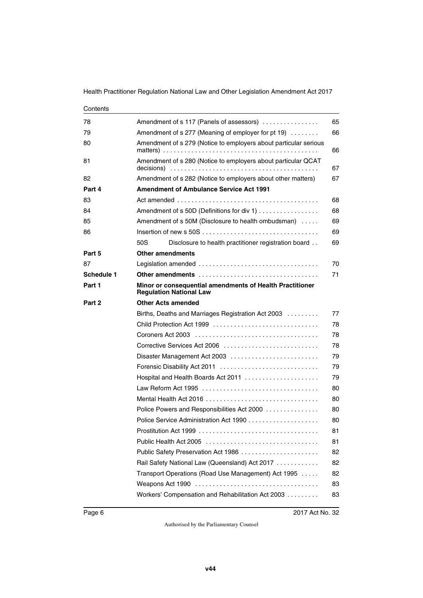| Contents   |                                                                                                      |    |  |  |  |
|------------|------------------------------------------------------------------------------------------------------|----|--|--|--|
| 78         | Amendment of s 117 (Panels of assessors)                                                             | 65 |  |  |  |
| 79         | Amendment of s 277 (Meaning of employer for pt 19)<br>66                                             |    |  |  |  |
| 80         | Amendment of s 279 (Notice to employers about particular serious<br>66                               |    |  |  |  |
| 81         | Amendment of s 280 (Notice to employers about particular QCAT                                        | 67 |  |  |  |
| 82         | Amendment of s 282 (Notice to employers about other matters)                                         | 67 |  |  |  |
| Part 4     | <b>Amendment of Ambulance Service Act 1991</b>                                                       |    |  |  |  |
| 83         |                                                                                                      | 68 |  |  |  |
| 84         | Amendment of s 50D (Definitions for div 1)                                                           | 68 |  |  |  |
| 85         | Amendment of s 50M (Disclosure to health ombudsman)                                                  | 69 |  |  |  |
| 86         | Insertion of new s 50S $\dots\dots\dots\dots\dots\dots\dots\dots\dots\dots\dots\dots\dots\dots\dots$ | 69 |  |  |  |
|            | 50S<br>Disclosure to health practitioner registration board                                          | 69 |  |  |  |
| Part 5     | <b>Other amendments</b>                                                                              |    |  |  |  |
| 87         |                                                                                                      | 70 |  |  |  |
| Schedule 1 | <b>Other amendments</b>                                                                              | 71 |  |  |  |
| Part 1     | Minor or consequential amendments of Health Practitioner<br><b>Regulation National Law</b>           |    |  |  |  |
| Part 2     | <b>Other Acts amended</b>                                                                            |    |  |  |  |
|            | Births, Deaths and Marriages Registration Act 2003                                                   | 77 |  |  |  |
|            |                                                                                                      | 78 |  |  |  |
|            | 78                                                                                                   |    |  |  |  |
|            | Corrective Services Act 2006<br>78                                                                   |    |  |  |  |
|            | Disaster Management Act 2003                                                                         | 79 |  |  |  |
|            | Forensic Disability Act 2011                                                                         | 79 |  |  |  |
|            | Hospital and Health Boards Act 2011                                                                  | 79 |  |  |  |
|            |                                                                                                      | 80 |  |  |  |
|            |                                                                                                      | 80 |  |  |  |
|            | Police Powers and Responsibilities Act 2000<br>80                                                    |    |  |  |  |
|            | 80                                                                                                   |    |  |  |  |
|            |                                                                                                      | 81 |  |  |  |
|            | 81                                                                                                   |    |  |  |  |
|            | Public Safety Preservation Act 1986                                                                  | 82 |  |  |  |
|            | Rail Safety National Law (Queensland) Act 2017                                                       | 82 |  |  |  |
|            | Transport Operations (Road Use Management) Act 1995                                                  | 82 |  |  |  |
|            |                                                                                                      | 83 |  |  |  |
|            | Workers' Compensation and Rehabilitation Act 2003                                                    | 83 |  |  |  |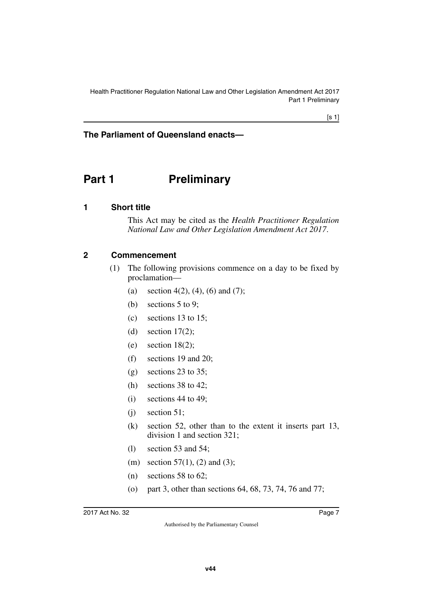## **The Parliament of Queensland enacts—**

# <span id="page-8-0"></span>**Part 1** Preliminary

#### <span id="page-8-2"></span>**1 Short title**

<span id="page-8-3"></span><span id="page-8-1"></span>This Act may be cited as the *Health Practitioner Regulation National Law and Other Legislation Amendment Act 2017*.

#### <span id="page-8-4"></span>**2 Commencement**

- <span id="page-8-5"></span>(1) The following provisions commence on a day to be fixed by proclamation—
	- (a) section 4(2), (4), (6) and (7);
	- (b) sections 5 to 9;
	- (c) sections 13 to 15;
	- (d) section  $17(2)$ ;
	- (e) section  $18(2)$ ;
	- (f) sections 19 and 20;
	- $(g)$  sections 23 to 35;
	- (h) sections 38 to 42;
	- $(i)$  sections 44 to 49:
	- $(i)$  section 51;
	- (k) section 52, other than to the extent it inserts part 13, division 1 and section 321;
	- (l) section 53 and 54;
	- (m) section 57(1), (2) and (3);
	- (n) sections 58 to 62;
	- (o) part 3, other than sections 64, 68, 73, 74, 76 and 77;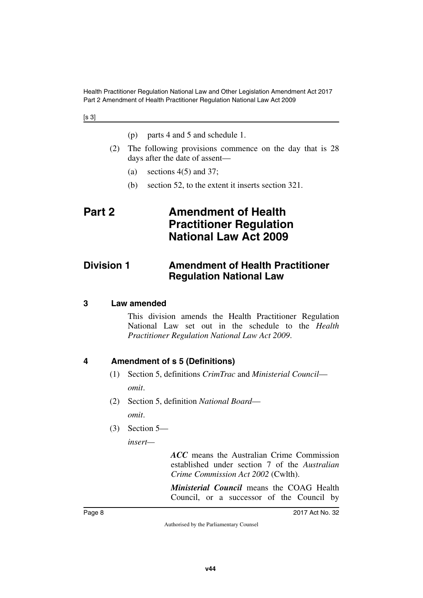#### [s 3]

<span id="page-9-1"></span>

|  |  |  |  | (p) parts 4 and 5 and schedule 1. |  |
|--|--|--|--|-----------------------------------|--|
|--|--|--|--|-----------------------------------|--|

- (2) The following provisions commence on the day that is 28 days after the date of assent—
	- (a) sections  $4(5)$  and  $37$ ;
	- (b) section 52, to the extent it inserts section 321.

# <span id="page-9-0"></span>**Part 2 Amendment of Health Practitioner Regulation National Law Act 2009**

## <span id="page-9-2"></span>**Division 1 Amendment of Health Practitioner Regulation National Law**

#### <span id="page-9-4"></span>**3 Law amended**

<span id="page-9-5"></span><span id="page-9-3"></span>This division amends the Health Practitioner Regulation National Law set out in the schedule to the *Health Practitioner Regulation National Law Act 2009*.

#### <span id="page-9-6"></span>**4 Amendment of s 5 (Definitions)**

- <span id="page-9-7"></span>(1) Section 5, definitions *CrimTrac* and *Ministerial Council omit*.
- (2) Section 5, definition *National Board omit*.
- (3) Section 5—

*insert—*

*ACC* means the Australian Crime Commission established under section 7 of the *Australian Crime Commission Act 2002* (Cwlth).

*Ministerial Council* means the COAG Health Council, or a successor of the Council by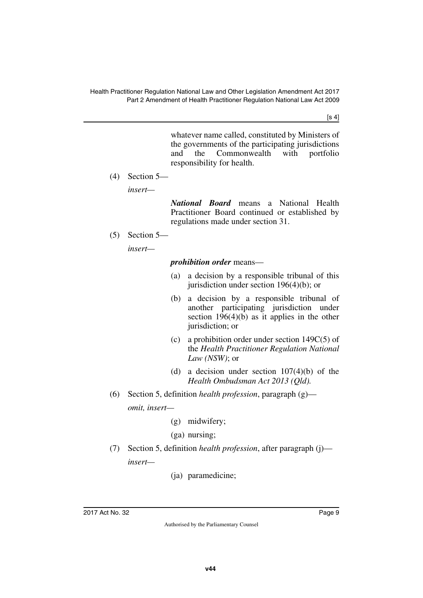$[s 4]$ 

whatever name called, constituted by Ministers of the governments of the participating jurisdictions and the Commonwealth with portfolio responsibility for health.

(4) Section 5—

*insert—*

*National Board* means a National Health Practitioner Board continued or established by regulations made under section 31.

(5) Section 5—

*insert—*

#### *prohibition order* means—

- (a) a decision by a responsible tribunal of this jurisdiction under section 196(4)(b); or
- (b) a decision by a responsible tribunal of another participating jurisdiction under section  $196(4)(b)$  as it applies in the other jurisdiction; or
- (c) a prohibition order under section 149C(5) of the *Health Practitioner Regulation National Law (NSW)*; or
- (d) a decision under section  $107(4)(b)$  of the *Health Ombudsman Act 2013 (Qld).*
- (6) Section 5, definition *health profession*, paragraph (g) *omit, insert—*
	- (g) midwifery;

(ga) nursing;

- (7) Section 5, definition *health profession*, after paragraph (j) *insert—*
	- (ja) paramedicine;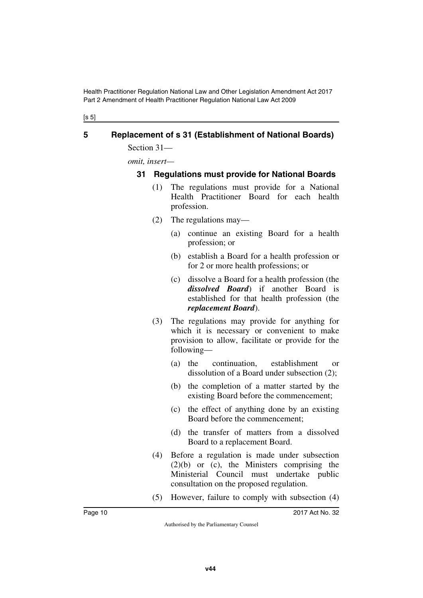[s 5]

## <span id="page-11-0"></span>**5 Replacement of s 31 (Establishment of National Boards)**

<span id="page-11-1"></span>Section 31—

*omit, insert—*

#### <span id="page-11-3"></span><span id="page-11-2"></span>**31 Regulations must provide for National Boards**

- (1) The regulations must provide for a National Health Practitioner Board for each health profession.
- (2) The regulations may—
	- (a) continue an existing Board for a health profession; or
	- (b) establish a Board for a health profession or for 2 or more health professions; or
	- (c) dissolve a Board for a health profession (the *dissolved Board*) if another Board is established for that health profession (the *replacement Board*).
- (3) The regulations may provide for anything for which it is necessary or convenient to make provision to allow, facilitate or provide for the following—
	- (a) the continuation, establishment or dissolution of a Board under subsection (2);
	- (b) the completion of a matter started by the existing Board before the commencement;
	- (c) the effect of anything done by an existing Board before the commencement;
	- (d) the transfer of matters from a dissolved Board to a replacement Board.
- (4) Before a regulation is made under subsection (2)(b) or (c), the Ministers comprising the Ministerial Council must undertake public consultation on the proposed regulation.
- (5) However, failure to comply with subsection (4)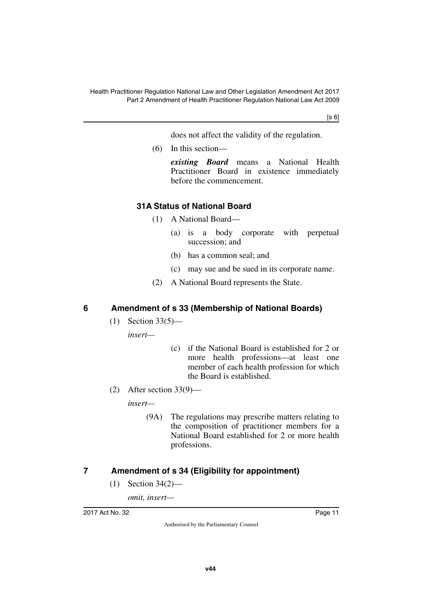$[s 6]$ 

does not affect the validity of the regulation.

(6) In this section—

*existing Board* means a National Health Practitioner Board in existence immediately before the commencement.

## <span id="page-12-1"></span><span id="page-12-0"></span>**31A Status of National Board**

- (1) A National Board—
	- (a) is a body corporate with perpetual succession; and
	- (b) has a common seal; and
	- (c) may sue and be sued in its corporate name.
- (2) A National Board represents the State.

### <span id="page-12-2"></span>**6 Amendment of s 33 (Membership of National Boards)**

<span id="page-12-3"></span>(1) Section 33(5)—

*insert—*

- (c) if the National Board is established for 2 or more health professions—at least one member of each health profession for which the Board is established.
- (2) After section 33(9)—

*insert—*

(9A) The regulations may prescribe matters relating to the composition of practitioner members for a National Board established for 2 or more health professions.

## <span id="page-12-4"></span>**7 Amendment of s 34 (Eligibility for appointment)**

<span id="page-12-5"></span>(1) Section 34(2)—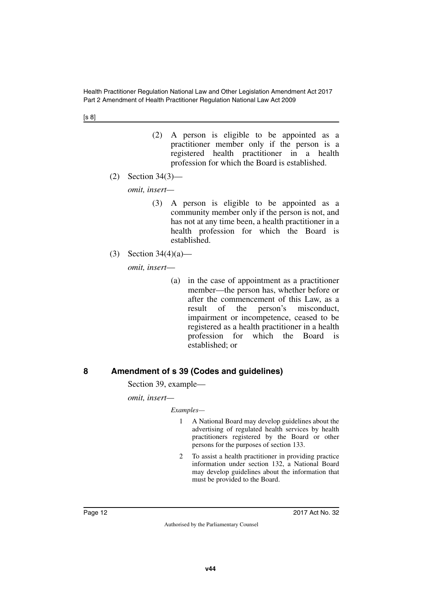- (2) A person is eligible to be appointed as a practitioner member only if the person is a registered health practitioner in a health profession for which the Board is established.
- (2) Section 34(3)—

*omit, insert—*

- (3) A person is eligible to be appointed as a community member only if the person is not, and has not at any time been, a health practitioner in a health profession for which the Board is established.
- (3) Section 34(4)(a)—

*omit, insert*—

(a) in the case of appointment as a practitioner member—the person has, whether before or after the commencement of this Law, as a result of the person's misconduct, impairment or incompetence, ceased to be registered as a health practitioner in a health profession for which the Board established; or

## <span id="page-13-0"></span>**8 Amendment of s 39 (Codes and guidelines)**

<span id="page-13-1"></span>Section 39, example—

*omit, insert—*

*Examples—*

- 1 A National Board may develop guidelines about the advertising of regulated health services by health practitioners registered by the Board or other persons for the purposes of section 133.
- 2 To assist a health practitioner in providing practice information under section 132, a National Board may develop guidelines about the information that must be provided to the Board.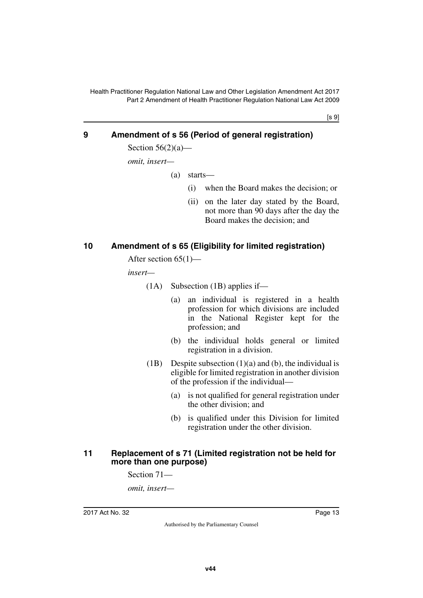[s 9]

#### <span id="page-14-0"></span>**9 Amendment of s 56 (Period of general registration)**

<span id="page-14-1"></span>Section  $56(2)(a)$ —

*omit, insert—*

- (a) starts—
	- (i) when the Board makes the decision; or
	- (ii) on the later day stated by the Board, not more than 90 days after the day the Board makes the decision; and

#### <span id="page-14-2"></span>**10 Amendment of s 65 (Eligibility for limited registration)**

<span id="page-14-3"></span>After section 65(1)—

*insert—*

- (1A) Subsection (1B) applies if—
	- (a) an individual is registered in a health profession for which divisions are included in the National Register kept for the profession; and
	- (b) the individual holds general or limited registration in a division.
- (1B) Despite subsection  $(1)(a)$  and  $(b)$ , the individual is eligible for limited registration in another division of the profession if the individual—
	- (a) is not qualified for general registration under the other division; and
	- (b) is qualified under this Division for limited registration under the other division.

#### <span id="page-14-5"></span><span id="page-14-4"></span>**11 Replacement of s 71 (Limited registration not be held for more than one purpose)**

Section 71—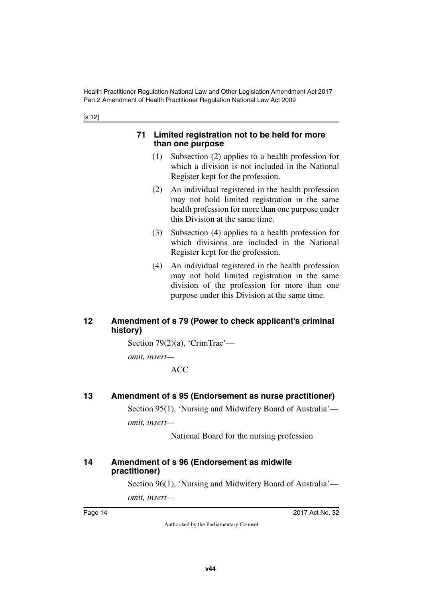[s 12]

#### <span id="page-15-1"></span><span id="page-15-0"></span>**71 Limited registration not to be held for more than one purpose**

- (1) Subsection (2) applies to a health profession for which a division is not included in the National Register kept for the profession.
- (2) An individual registered in the health profession may not hold limited registration in the same health profession for more than one purpose under this Division at the same time.
- (3) Subsection (4) applies to a health profession for which divisions are included in the National Register kept for the profession.
- (4) An individual registered in the health profession may not hold limited registration in the same division of the profession for more than one purpose under this Division at the same time.

## <span id="page-15-3"></span><span id="page-15-2"></span>**12 Amendment of s 79 (Power to check applicant's criminal history)**

Section 79(2)(a), 'CrimTrac'—

*omit, insert—*

ACC

## <span id="page-15-4"></span>**13 Amendment of s 95 (Endorsement as nurse practitioner)**

<span id="page-15-5"></span>Section 95(1), 'Nursing and Midwifery Board of Australia' *omit, insert—*

National Board for the nursing profession

## <span id="page-15-7"></span><span id="page-15-6"></span>**14 Amendment of s 96 (Endorsement as midwife practitioner)**

Section 96(1), 'Nursing and Midwifery Board of Australia'—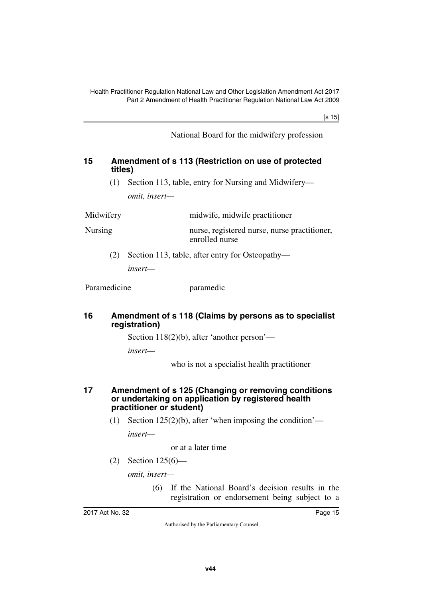[s 15]

National Board for the midwifery profession

#### <span id="page-16-1"></span><span id="page-16-0"></span>**15 Amendment of s 113 (Restriction on use of protected titles)**

(1) Section 113, table, entry for Nursing and Midwifery *omit, insert—*

Midwifery midwife, midwife practitioner Nursing nurse, registered nurse, nurse practitioner, enrolled nurse

> (2) Section 113, table, after entry for Osteopathy *insert—*

Paramedicine paramedic

#### <span id="page-16-3"></span><span id="page-16-2"></span>**16 Amendment of s 118 (Claims by persons as to specialist registration)**

Section 118(2)(b), after 'another person'—

*insert—*

who is not a specialist health practitioner

#### <span id="page-16-5"></span><span id="page-16-4"></span>**17 Amendment of s 125 (Changing or removing conditions or undertaking on application by registered health practitioner or student)**

(1) Section  $125(2)(b)$ , after 'when imposing the condition' *insert—*

or at a later time

(2) Section 125(6)—

*omit, insert—*

(6) If the National Board's decision results in the registration or endorsement being subject to a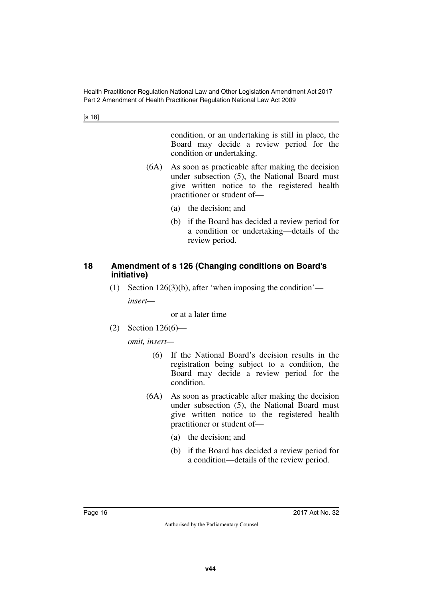[s 18]

condition, or an undertaking is still in place, the Board may decide a review period for the condition or undertaking.

- (6A) As soon as practicable after making the decision under subsection (5), the National Board must give written notice to the registered health practitioner or student of—
	- (a) the decision; and
	- (b) if the Board has decided a review period for a condition or undertaking—details of the review period.

#### <span id="page-17-1"></span><span id="page-17-0"></span>**18 Amendment of s 126 (Changing conditions on Board's initiative)**

(1) Section 126(3)(b), after 'when imposing the condition' *insert—*

or at a later time

(2) Section 126(6)—

- (6) If the National Board's decision results in the registration being subject to a condition, the Board may decide a review period for the condition.
- (6A) As soon as practicable after making the decision under subsection (5), the National Board must give written notice to the registered health practitioner or student of—
	- (a) the decision; and
	- (b) if the Board has decided a review period for a condition—details of the review period.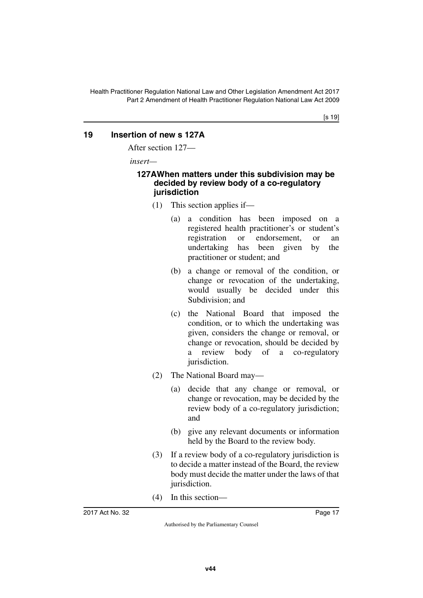## <span id="page-18-0"></span>**19 Insertion of new s 127A**

<span id="page-18-1"></span>After section 127—

 *insert—*

#### <span id="page-18-3"></span><span id="page-18-2"></span>**127AWhen matters under this subdivision may be decided by review body of a co-regulatory jurisdiction**

- (1) This section applies if—
	- (a) a condition has been imposed on a registered health practitioner's or student's registration or endorsement, or an undertaking has been given by the practitioner or student; and
	- (b) a change or removal of the condition, or change or revocation of the undertaking, would usually be decided under this Subdivision; and
	- (c) the National Board that imposed the condition, or to which the undertaking was given, considers the change or removal, or change or revocation, should be decided by a review body of a co-regulatory jurisdiction.
- (2) The National Board may—
	- (a) decide that any change or removal, or change or revocation, may be decided by the review body of a co-regulatory jurisdiction; and
	- (b) give any relevant documents or information held by the Board to the review body.
- (3) If a review body of a co-regulatory jurisdiction is to decide a matter instead of the Board, the review body must decide the matter under the laws of that jurisdiction.
- (4) In this section—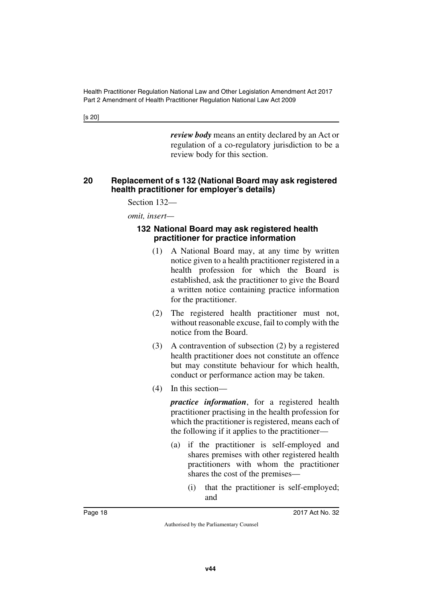[s 20]

*review body* means an entity declared by an Act or regulation of a co-regulatory jurisdiction to be a review body for this section.

#### <span id="page-19-1"></span><span id="page-19-0"></span>**20 Replacement of s 132 (National Board may ask registered health practitioner for employer's details)**

Section 132—

*omit, insert—*

#### <span id="page-19-3"></span><span id="page-19-2"></span>**132 National Board may ask registered health practitioner for practice information**

- (1) A National Board may, at any time by written notice given to a health practitioner registered in a health profession for which the Board is established, ask the practitioner to give the Board a written notice containing practice information for the practitioner.
- (2) The registered health practitioner must not, without reasonable excuse, fail to comply with the notice from the Board.
- (3) A contravention of subsection (2) by a registered health practitioner does not constitute an offence but may constitute behaviour for which health, conduct or performance action may be taken.
- (4) In this section—

*practice information*, for a registered health practitioner practising in the health profession for which the practitioner is registered, means each of the following if it applies to the practitioner—

- (a) if the practitioner is self-employed and shares premises with other registered health practitioners with whom the practitioner shares the cost of the premises—
	- (i) that the practitioner is self-employed; and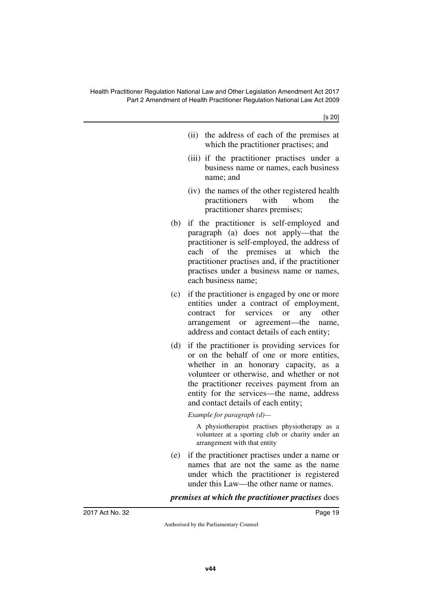[s 20]

- (ii) the address of each of the premises at which the practitioner practises; and
- (iii) if the practitioner practises under a business name or names, each business name; and
- (iv) the names of the other registered health practitioners with whom the practitioner shares premises;
- (b) if the practitioner is self-employed and paragraph (a) does not apply—that the practitioner is self-employed, the address of each of the premises at which the practitioner practises and, if the practitioner practises under a business name or names, each business name;
- (c) if the practitioner is engaged by one or more entities under a contract of employment, contract for services or any other arrangement or agreement—the name, address and contact details of each entity;
- (d) if the practitioner is providing services for or on the behalf of one or more entities, whether in an honorary capacity, as a volunteer or otherwise, and whether or not the practitioner receives payment from an entity for the services—the name, address and contact details of each entity;

#### *Example for paragraph (d)—*

A physiotherapist practises physiotherapy as a volunteer at a sporting club or charity under an arrangement with that entity

(e) if the practitioner practises under a name or names that are not the same as the name under which the practitioner is registered under this Law—the other name or names.

*premises at which the practitioner practises* does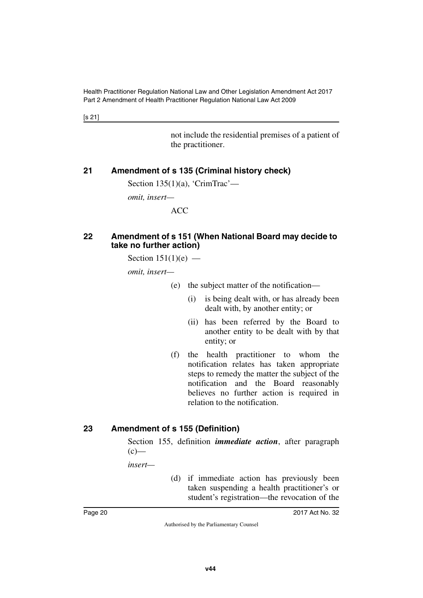[s 21]

not include the residential premises of a patient of the practitioner.

## <span id="page-21-0"></span>**21 Amendment of s 135 (Criminal history check)**

<span id="page-21-1"></span>Section  $135(1)(a)$ , 'CrimTrac'—

*omit, insert—*

ACC

#### <span id="page-21-3"></span><span id="page-21-2"></span>**22 Amendment of s 151 (When National Board may decide to take no further action)**

Section  $151(1)(e)$  —

*omit, insert—*

- (e) the subject matter of the notification—
	- (i) is being dealt with, or has already been dealt with, by another entity; or
	- (ii) has been referred by the Board to another entity to be dealt with by that entity; or
- (f) the health practitioner to whom the notification relates has taken appropriate steps to remedy the matter the subject of the notification and the Board reasonably believes no further action is required in relation to the notification.

### <span id="page-21-4"></span>**23 Amendment of s 155 (Definition)**

<span id="page-21-5"></span>Section 155, definition *immediate action*, after paragraph  $(c)$ —

*insert—*

(d) if immediate action has previously been taken suspending a health practitioner's or student's registration—the revocation of the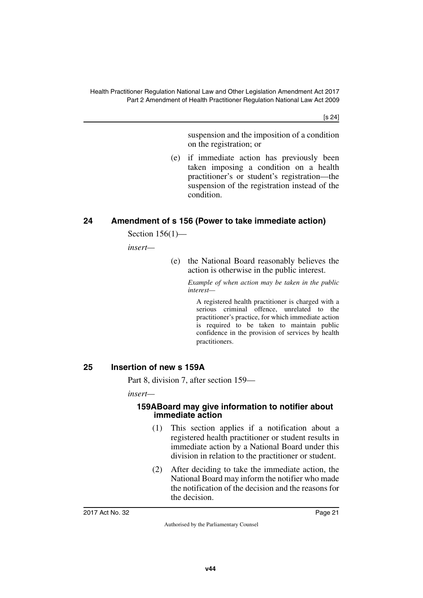[s 24]

suspension and the imposition of a condition on the registration; or

(e) if immediate action has previously been taken imposing a condition on a health practitioner's or student's registration—the suspension of the registration instead of the condition.

## <span id="page-22-0"></span>**24 Amendment of s 156 (Power to take immediate action)**

<span id="page-22-1"></span>Section 156(1)—

*insert—*

(e) the National Board reasonably believes the action is otherwise in the public interest.

> *Example of when action may be taken in the public interest—*

A registered health practitioner is charged with a serious criminal offence, unrelated to the practitioner's practice, for which immediate action is required to be taken to maintain public confidence in the provision of services by health practitioners.

#### <span id="page-22-2"></span>**25 Insertion of new s 159A**

<span id="page-22-3"></span>Part 8, division 7, after section 159—

*insert—*

#### <span id="page-22-5"></span><span id="page-22-4"></span>**159ABoard may give information to notifier about immediate action**

- (1) This section applies if a notification about a registered health practitioner or student results in immediate action by a National Board under this division in relation to the practitioner or student.
- (2) After deciding to take the immediate action, the National Board may inform the notifier who made the notification of the decision and the reasons for the decision.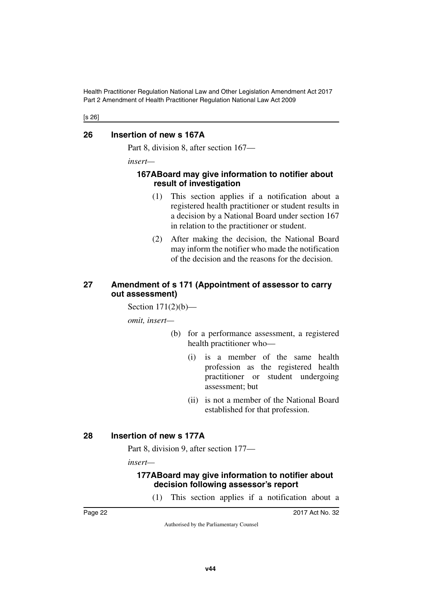[s 26]

#### <span id="page-23-0"></span>**26 Insertion of new s 167A**

<span id="page-23-1"></span>Part 8, division 8, after section 167—

*insert—*

#### <span id="page-23-3"></span><span id="page-23-2"></span>**167ABoard may give information to notifier about result of investigation**

- (1) This section applies if a notification about a registered health practitioner or student results in a decision by a National Board under section 167 in relation to the practitioner or student.
- (2) After making the decision, the National Board may inform the notifier who made the notification of the decision and the reasons for the decision.

#### <span id="page-23-5"></span><span id="page-23-4"></span>**27 Amendment of s 171 (Appointment of assessor to carry out assessment)**

Section 171(2)(b)—

*omit, insert—*

- (b) for a performance assessment, a registered health practitioner who—
	- (i) is a member of the same health profession as the registered health practitioner or student undergoing assessment; but
	- (ii) is not a member of the National Board established for that profession.

### <span id="page-23-6"></span>**28 Insertion of new s 177A**

<span id="page-23-7"></span>Part 8, division 9, after section 177—

*insert—*

### <span id="page-23-9"></span><span id="page-23-8"></span>**177ABoard may give information to notifier about decision following assessor's report**

(1) This section applies if a notification about a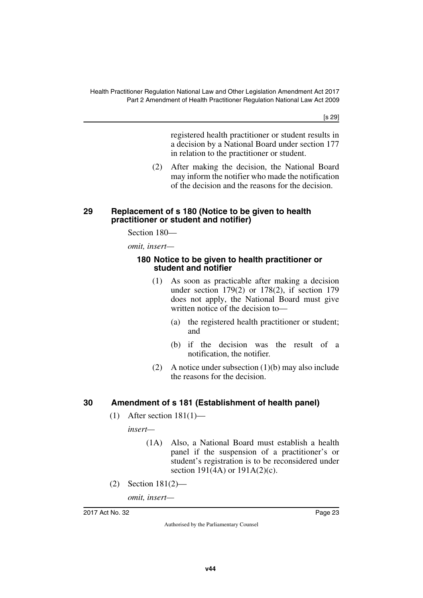[s 29]

registered health practitioner or student results in a decision by a National Board under section 177 in relation to the practitioner or student.

(2) After making the decision, the National Board may inform the notifier who made the notification of the decision and the reasons for the decision.

#### <span id="page-24-1"></span><span id="page-24-0"></span>**29 Replacement of s 180 (Notice to be given to health practitioner or student and notifier)**

Section 180—

*omit, insert—*

#### <span id="page-24-3"></span><span id="page-24-2"></span>**180 Notice to be given to health practitioner or student and notifier**

- (1) As soon as practicable after making a decision under section 179(2) or 178(2), if section 179 does not apply, the National Board must give written notice of the decision to—
	- (a) the registered health practitioner or student; and
	- (b) if the decision was the result of a notification, the notifier.
- (2) A notice under subsection (1)(b) may also include the reasons for the decision.

## <span id="page-24-4"></span>**30 Amendment of s 181 (Establishment of health panel)**

<span id="page-24-5"></span> $(1)$  After section  $181(1)$ —

*insert—*

- (1A) Also, a National Board must establish a health panel if the suspension of a practitioner's or student's registration is to be reconsidered under section 191(4A) or 191A(2)(c).
- (2) Section 181(2)—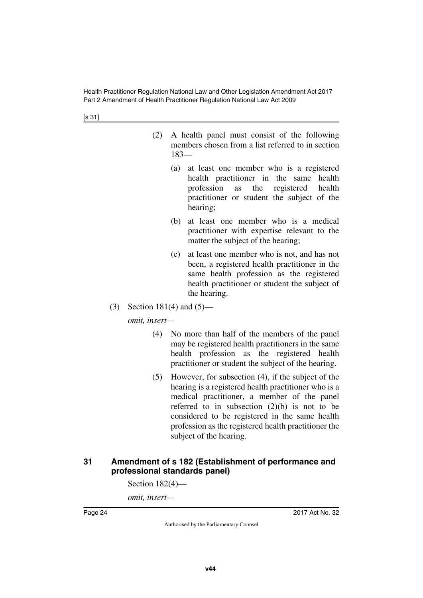[s 31]

- (2) A health panel must consist of the following members chosen from a list referred to in section 183—
	- (a) at least one member who is a registered health practitioner in the same health profession as the registered health practitioner or student the subject of the hearing;
	- (b) at least one member who is a medical practitioner with expertise relevant to the matter the subject of the hearing;
	- (c) at least one member who is not, and has not been, a registered health practitioner in the same health profession as the registered health practitioner or student the subject of the hearing.
- (3) Section 181(4) and (5)—

*omit, insert—*

- (4) No more than half of the members of the panel may be registered health practitioners in the same health profession as the registered health practitioner or student the subject of the hearing.
- (5) However, for subsection (4), if the subject of the hearing is a registered health practitioner who is a medical practitioner, a member of the panel referred to in subsection (2)(b) is not to be considered to be registered in the same health profession as the registered health practitioner the subject of the hearing.

#### <span id="page-25-1"></span><span id="page-25-0"></span>**31 Amendment of s 182 (Establishment of performance and professional standards panel)**

Section 182(4)—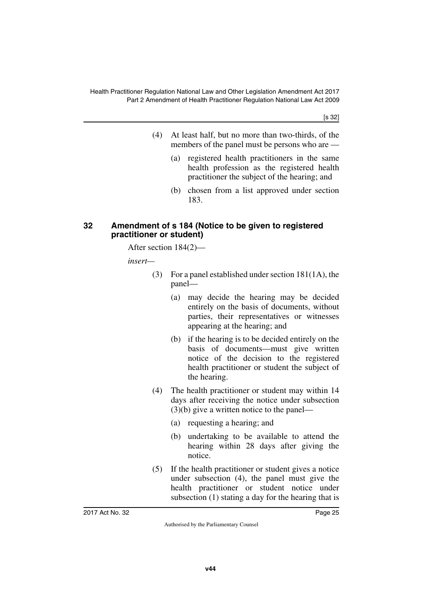[s 32]

- (4) At least half, but no more than two-thirds, of the members of the panel must be persons who are —
	- (a) registered health practitioners in the same health profession as the registered health practitioner the subject of the hearing; and
	- (b) chosen from a list approved under section 183.

#### <span id="page-26-1"></span><span id="page-26-0"></span>**32 Amendment of s 184 (Notice to be given to registered practitioner or student)**

After section 184(2)—

*insert—*

- (3) For a panel established under section 181(1A), the panel—
	- (a) may decide the hearing may be decided entirely on the basis of documents, without parties, their representatives or witnesses appearing at the hearing; and
	- (b) if the hearing is to be decided entirely on the basis of documents—must give written notice of the decision to the registered health practitioner or student the subject of the hearing.
- (4) The health practitioner or student may within 14 days after receiving the notice under subsection (3)(b) give a written notice to the panel—
	- (a) requesting a hearing; and
	- (b) undertaking to be available to attend the hearing within 28 days after giving the notice.
- (5) If the health practitioner or student gives a notice under subsection (4), the panel must give the health practitioner or student notice under subsection (1) stating a day for the hearing that is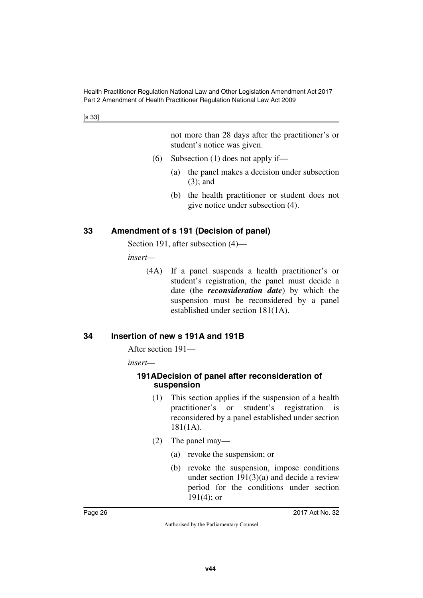[s 33]

not more than 28 days after the practitioner's or student's notice was given.

- (6) Subsection  $(1)$  does not apply if—
	- (a) the panel makes a decision under subsection (3); and
	- (b) the health practitioner or student does not give notice under subsection (4).

## <span id="page-27-0"></span>**33 Amendment of s 191 (Decision of panel)**

<span id="page-27-1"></span>Section 191, after subsection (4)—

*insert—*

(4A) If a panel suspends a health practitioner's or student's registration, the panel must decide a date (the *reconsideration date*) by which the suspension must be reconsidered by a panel established under section 181(1A).

## <span id="page-27-2"></span>**34 Insertion of new s 191A and 191B**

<span id="page-27-3"></span>After section 191—

*insert—*

#### <span id="page-27-5"></span><span id="page-27-4"></span>**191ADecision of panel after reconsideration of suspension**

- (1) This section applies if the suspension of a health practitioner's or student's registration is reconsidered by a panel established under section 181(1A).
- (2) The panel may—
	- (a) revoke the suspension; or
	- (b) revoke the suspension, impose conditions under section  $191(3)(a)$  and decide a review period for the conditions under section  $191(4)$ ; or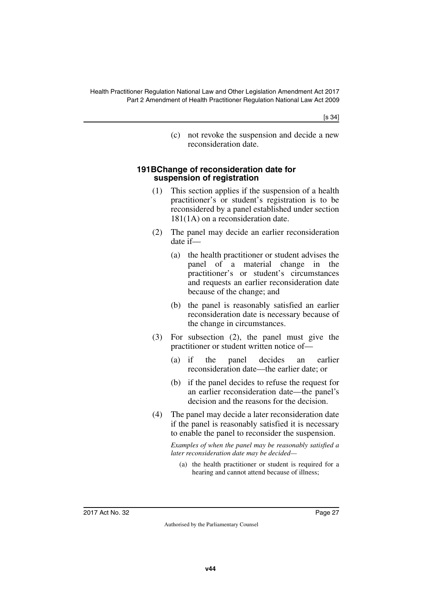[s 34]

(c) not revoke the suspension and decide a new reconsideration date.

#### <span id="page-28-1"></span><span id="page-28-0"></span>**191BChange of reconsideration date for suspension of registration**

- (1) This section applies if the suspension of a health practitioner's or student's registration is to be reconsidered by a panel established under section 181(1A) on a reconsideration date.
- (2) The panel may decide an earlier reconsideration date if—
	- (a) the health practitioner or student advises the panel of a material change in the practitioner's or student's circumstances and requests an earlier reconsideration date because of the change; and
	- (b) the panel is reasonably satisfied an earlier reconsideration date is necessary because of the change in circumstances.
- (3) For subsection (2), the panel must give the practitioner or student written notice of—
	- (a) if the panel decides an earlier reconsideration date—the earlier date; or
	- (b) if the panel decides to refuse the request for an earlier reconsideration date—the panel's decision and the reasons for the decision.
- (4) The panel may decide a later reconsideration date if the panel is reasonably satisfied it is necessary to enable the panel to reconsider the suspension.

*Examples of when the panel may be reasonably satisfied a later reconsideration date may be decided—*

(a) the health practitioner or student is required for a hearing and cannot attend because of illness;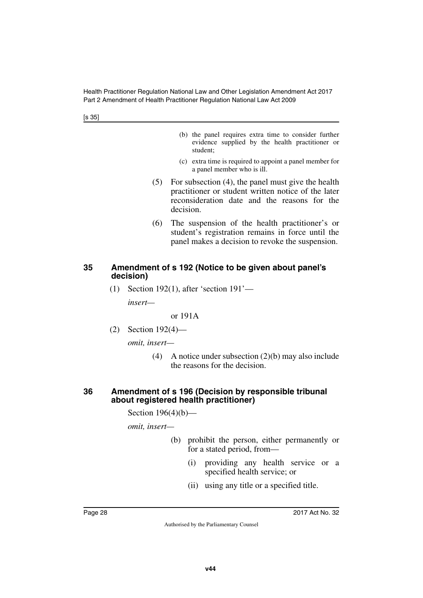[s 35]

- (b) the panel requires extra time to consider further evidence supplied by the health practitioner or student;
- (c) extra time is required to appoint a panel member for a panel member who is ill.
- (5) For subsection (4), the panel must give the health practitioner or student written notice of the later reconsideration date and the reasons for the decision.
- (6) The suspension of the health practitioner's or student's registration remains in force until the panel makes a decision to revoke the suspension.

#### <span id="page-29-1"></span><span id="page-29-0"></span>**35 Amendment of s 192 (Notice to be given about panel's decision)**

(1) Section 192(1), after 'section 191'—

*insert—*

or 191A

(2) Section 192(4)—

*omit, insert—*

(4) A notice under subsection (2)(b) may also include the reasons for the decision.

#### <span id="page-29-3"></span><span id="page-29-2"></span>**36 Amendment of s 196 (Decision by responsible tribunal about registered health practitioner)**

Section 196(4)(b)—

- (b) prohibit the person, either permanently or for a stated period, from—
	- (i) providing any health service or a specified health service; or
	- (ii) using any title or a specified title.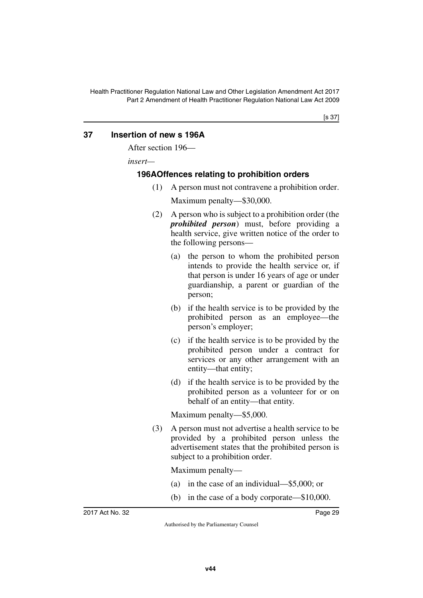## <span id="page-30-0"></span>**37 Insertion of new s 196A**

<span id="page-30-1"></span>After section 196—

*insert—*

### <span id="page-30-3"></span><span id="page-30-2"></span>**196AOffences relating to prohibition orders**

(1) A person must not contravene a prohibition order.

Maximum penalty—\$30,000.

- (2) A person who is subject to a prohibition order (the *prohibited person*) must, before providing a health service, give written notice of the order to the following persons—
	- (a) the person to whom the prohibited person intends to provide the health service or, if that person is under 16 years of age or under guardianship, a parent or guardian of the person;
	- (b) if the health service is to be provided by the prohibited person as an employee—the person's employer;
	- (c) if the health service is to be provided by the prohibited person under a contract for services or any other arrangement with an entity—that entity;
	- (d) if the health service is to be provided by the prohibited person as a volunteer for or on behalf of an entity—that entity.

Maximum penalty—\$5,000.

(3) A person must not advertise a health service to be provided by a prohibited person unless the advertisement states that the prohibited person is subject to a prohibition order.

Maximum penalty—

- (a) in the case of an individual—\$5,000; or
- (b) in the case of a body corporate—\$10,000.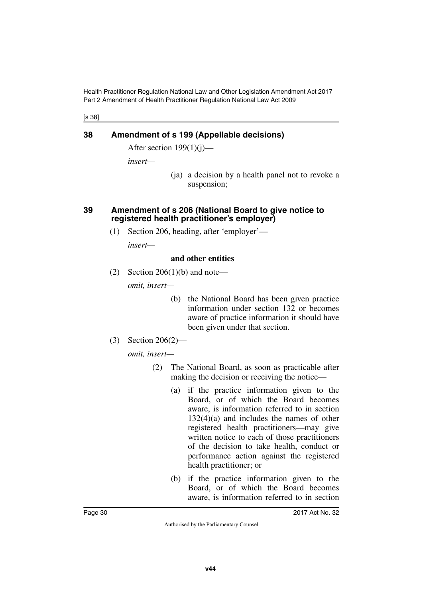[s 38]

## <span id="page-31-0"></span>**38 Amendment of s 199 (Appellable decisions)**

<span id="page-31-1"></span>After section  $199(1)(i)$ —

*insert—*

(ja) a decision by a health panel not to revoke a suspension;

#### <span id="page-31-3"></span><span id="page-31-2"></span>**39 Amendment of s 206 (National Board to give notice to registered health practitioner's employer)**

(1) Section 206, heading, after 'employer'—

*insert—*

#### **and other entities**

(2) Section 206(1)(b) and note—

*omit, insert—*

- (b) the National Board has been given practice information under section 132 or becomes aware of practice information it should have been given under that section.
- (3) Section 206(2)—

- (2) The National Board, as soon as practicable after making the decision or receiving the notice—
	- (a) if the practice information given to the Board, or of which the Board becomes aware, is information referred to in section 132(4)(a) and includes the names of other registered health practitioners—may give written notice to each of those practitioners of the decision to take health, conduct or performance action against the registered health practitioner; or
	- (b) if the practice information given to the Board, or of which the Board becomes aware, is information referred to in section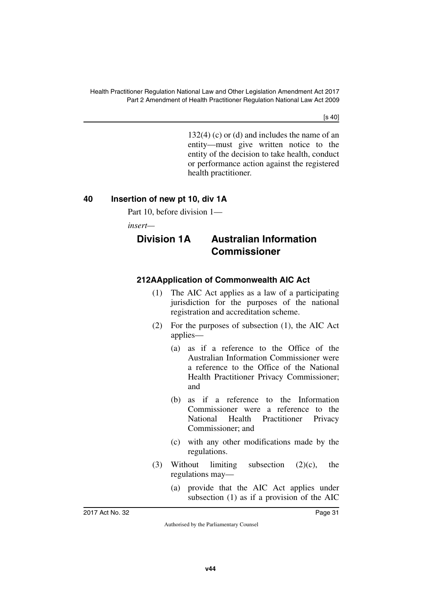[s 40]

132(4) (c) or (d) and includes the name of an entity—must give written notice to the entity of the decision to take health, conduct or performance action against the registered health practitioner.

## <span id="page-32-0"></span>**40 Insertion of new pt 10, div 1A**

<span id="page-32-1"></span>Part 10, before division 1—

*insert—*

<span id="page-32-3"></span>

## <span id="page-32-2"></span>**Division 1A Australian Information Commissioner**

## <span id="page-32-4"></span>**212AApplication of Commonwealth AIC Act**

- <span id="page-32-5"></span>(1) The AIC Act applies as a law of a participating jurisdiction for the purposes of the national registration and accreditation scheme.
- (2) For the purposes of subsection (1), the AIC Act applies—
	- (a) as if a reference to the Office of the Australian Information Commissioner were a reference to the Office of the National Health Practitioner Privacy Commissioner; and
	- (b) as if a reference to the Information Commissioner were a reference to the National Health Practitioner Privacy Commissioner; and
	- (c) with any other modifications made by the regulations.
- (3) Without limiting subsection (2)(c), the regulations may—
	- (a) provide that the AIC Act applies under subsection (1) as if a provision of the AIC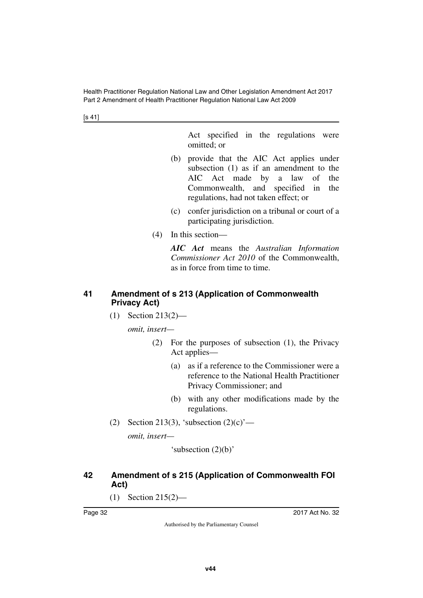[s 41]

Act specified in the regulations were omitted; or

- (b) provide that the AIC Act applies under subsection (1) as if an amendment to the AIC Act made by a law of the Commonwealth, and specified in the regulations, had not taken effect; or
- (c) confer jurisdiction on a tribunal or court of a participating jurisdiction.
- (4) In this section—

*AIC Act* means the *Australian Information Commissioner Act 2010* of the Commonwealth, as in force from time to time.

## <span id="page-33-1"></span><span id="page-33-0"></span>**41 Amendment of s 213 (Application of Commonwealth Privacy Act)**

(1) Section 213(2)—

*omit, insert—*

- (2) For the purposes of subsection (1), the Privacy Act applies—
	- (a) as if a reference to the Commissioner were a reference to the National Health Practitioner Privacy Commissioner; and
	- (b) with any other modifications made by the regulations.
- (2) Section 213(3), 'subsection  $(2)(c)$ '—

*omit, insert—*

'subsection (2)(b)'

## <span id="page-33-3"></span><span id="page-33-2"></span>**42 Amendment of s 215 (Application of Commonwealth FOI Act)**

(1) Section 215(2)—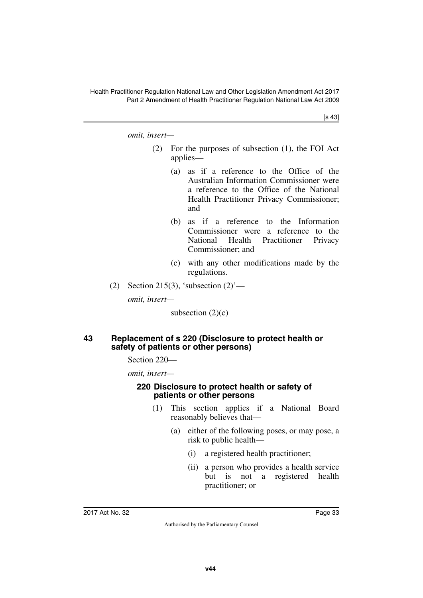[s 43]

*omit, insert—*

- (2) For the purposes of subsection (1), the FOI Act applies—
	- (a) as if a reference to the Office of the Australian Information Commissioner were a reference to the Office of the National Health Practitioner Privacy Commissioner; and
	- (b) as if a reference to the Information Commissioner were a reference to the National Health Practitioner Privacy Commissioner; and
	- (c) with any other modifications made by the regulations.
- (2) Section 215(3), 'subsection  $(2)$ '—

*omit, insert—*

subsection  $(2)(c)$ 

#### <span id="page-34-1"></span><span id="page-34-0"></span>**43 Replacement of s 220 (Disclosure to protect health or safety of patients or other persons)**

Section 220—

*omit, insert—*

#### <span id="page-34-3"></span><span id="page-34-2"></span>**220 Disclosure to protect health or safety of patients or other persons**

- (1) This section applies if a National Board reasonably believes that—
	- (a) either of the following poses, or may pose, a risk to public health—
		- (i) a registered health practitioner;
		- (ii) a person who provides a health service but is not a registered health practitioner; or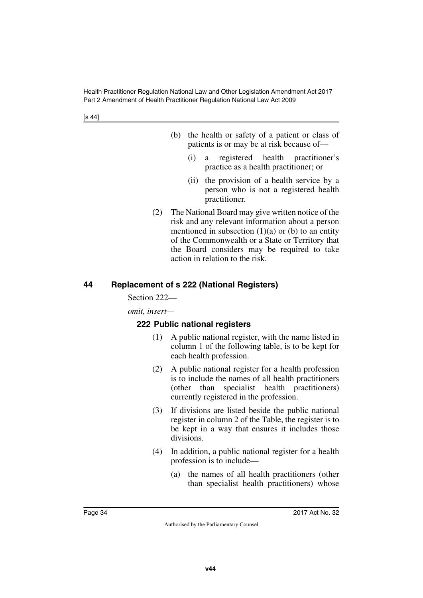- (b) the health or safety of a patient or class of patients is or may be at risk because of—
	- (i) a registered health practitioner's practice as a health practitioner; or
	- (ii) the provision of a health service by a person who is not a registered health practitioner.
- (2) The National Board may give written notice of the risk and any relevant information about a person mentioned in subsection  $(1)(a)$  or  $(b)$  to an entity of the Commonwealth or a State or Territory that the Board considers may be required to take action in relation to the risk.

## <span id="page-35-0"></span>**44 Replacement of s 222 (National Registers)**

#### <span id="page-35-1"></span>Section 222—

*omit, insert—*

## <span id="page-35-3"></span><span id="page-35-2"></span>**222 Public national registers**

- (1) A public national register, with the name listed in column 1 of the following table, is to be kept for each health profession.
- (2) A public national register for a health profession is to include the names of all health practitioners (other than specialist health practitioners) currently registered in the profession.
- (3) If divisions are listed beside the public national register in column 2 of the Table, the register is to be kept in a way that ensures it includes those divisions.
- (4) In addition, a public national register for a health profession is to include—
	- (a) the names of all health practitioners (other than specialist health practitioners) whose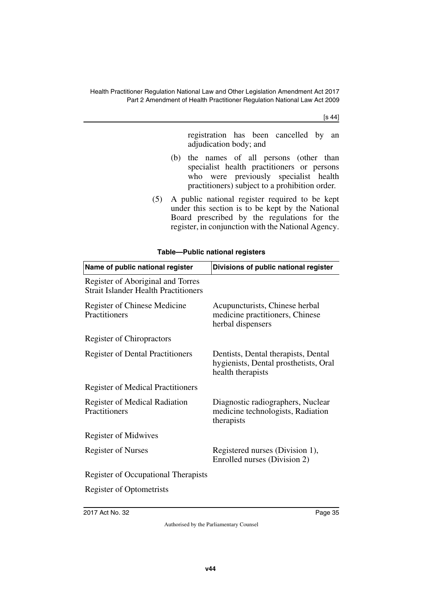[s 44]

registration has been cancelled by an adjudication body; and

- (b) the names of all persons (other than specialist health practitioners or persons who were previously specialist health practitioners) subject to a prohibition order.
- (5) A public national register required to be kept under this section is to be kept by the National Board prescribed by the regulations for the register, in conjunction with the National Agency.

#### **Table—Public national registers**

| Name of public national register                                                 | Divisions of public national register                                                             |  |  |
|----------------------------------------------------------------------------------|---------------------------------------------------------------------------------------------------|--|--|
| Register of Aboriginal and Torres<br><b>Strait Islander Health Practitioners</b> |                                                                                                   |  |  |
| Register of Chinese Medicine<br>Practitioners                                    | Acupuncturists, Chinese herbal<br>medicine practitioners, Chinese<br>herbal dispensers            |  |  |
| <b>Register of Chiropractors</b>                                                 |                                                                                                   |  |  |
| <b>Register of Dental Practitioners</b>                                          | Dentists, Dental therapists, Dental<br>hygienists, Dental prosthetists, Oral<br>health therapists |  |  |
| <b>Register of Medical Practitioners</b>                                         |                                                                                                   |  |  |
| <b>Register of Medical Radiation</b><br>Practitioners                            | Diagnostic radiographers, Nuclear<br>medicine technologists, Radiation<br>therapists              |  |  |
| <b>Register of Midwives</b>                                                      |                                                                                                   |  |  |
| <b>Register of Nurses</b>                                                        | Registered nurses (Division 1),<br>Enrolled nurses (Division 2)                                   |  |  |
| <b>Register of Occupational Therapists</b>                                       |                                                                                                   |  |  |
| <b>Register of Optometrists</b>                                                  |                                                                                                   |  |  |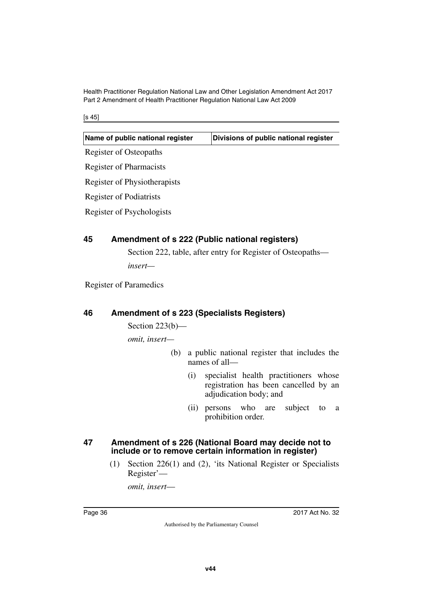[s 45]

## **45 Amendment of s 222 (Public national registers)**

Section 222, table, after entry for Register of Osteopaths *insert—*

Register of Paramedics

## **46 Amendment of s 223 (Specialists Registers)**

Section 223(b)—

*omit, insert—*

- (b) a public national register that includes the names of all—
	- (i) specialist health practitioners whose registration has been cancelled by an adjudication body; and
	- (ii) persons who are subject to a prohibition order.

#### **47 Amendment of s 226 (National Board may decide not to include or to remove certain information in register)**

(1) Section 226(1) and (2), 'its National Register or Specialists Register'—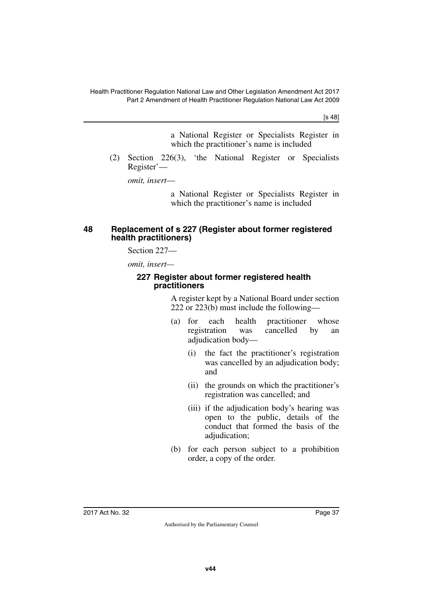[s 48]

a National Register or Specialists Register in which the practitioner's name is included

(2) Section 226(3), 'the National Register or Specialists Register'—

*omit, insert*—

a National Register or Specialists Register in which the practitioner's name is included

#### **48 Replacement of s 227 (Register about former registered health practitioners)**

Section 227—

*omit, insert—*

#### **227 Register about former registered health practitioners**

A register kept by a National Board under section 222 or 223(b) must include the following—

- (a) for each health practitioner whose registration was cancelled by an adjudication body—
	- (i) the fact the practitioner's registration was cancelled by an adjudication body; and
	- (ii) the grounds on which the practitioner's registration was cancelled; and
	- (iii) if the adjudication body's hearing was open to the public, details of the conduct that formed the basis of the adjudication:
- (b) for each person subject to a prohibition order, a copy of the order.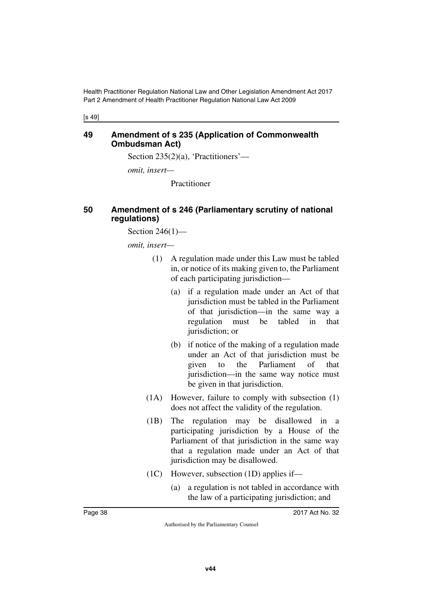[s 49]

#### **49 Amendment of s 235 (Application of Commonwealth Ombudsman Act)**

Section 235(2)(a), 'Practitioners'—

*omit, insert—*

Practitioner

### **50 Amendment of s 246 (Parliamentary scrutiny of national regulations)**

Section 246(1)—

- (1) A regulation made under this Law must be tabled in, or notice of its making given to, the Parliament of each participating jurisdiction—
	- (a) if a regulation made under an Act of that jurisdiction must be tabled in the Parliament of that jurisdiction—in the same way a regulation must be tabled in that jurisdiction; or
	- (b) if notice of the making of a regulation made under an Act of that jurisdiction must be given to the Parliament of that jurisdiction—in the same way notice must be given in that jurisdiction.
- (1A) However, failure to comply with subsection (1) does not affect the validity of the regulation.
- (1B) The regulation may be disallowed in a participating jurisdiction by a House of the Parliament of that jurisdiction in the same way that a regulation made under an Act of that jurisdiction may be disallowed.
- (1C) However, subsection (1D) applies if—
	- (a) a regulation is not tabled in accordance with the law of a participating jurisdiction; and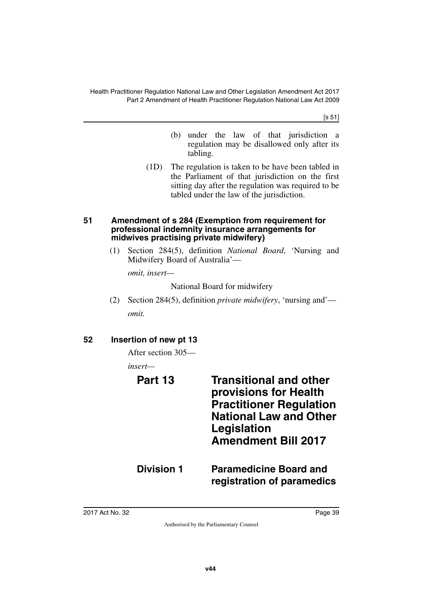[s 51]

- (b) under the law of that jurisdiction a regulation may be disallowed only after its tabling.
- (1D) The regulation is taken to be have been tabled in the Parliament of that jurisdiction on the first sitting day after the regulation was required to be tabled under the law of the jurisdiction.

#### **51 Amendment of s 284 (Exemption from requirement for professional indemnity insurance arrangements for midwives practising private midwifery)**

(1) Section 284(5), definition *National Board*, 'Nursing and Midwifery Board of Australia'—

*omit, insert—*

National Board for midwifery

(2) Section 284(5), definition *private midwifery*, 'nursing and' *omit.*

## **52 Insertion of new pt 13**

After section 305—

*insert—*

# **Part 13 Transitional and other provisions for Health Practitioner Regulation National Law and Other Legislation Amendment Bill 2017 Division 1 Paramedicine Board and registration of paramedics**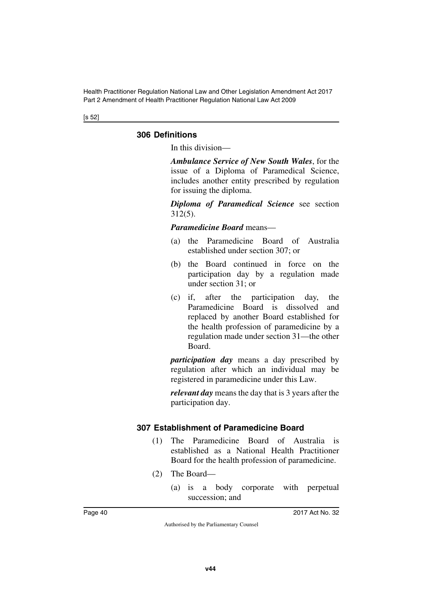[s 52]

### **306 Definitions**

In this division—

*Ambulance Service of New South Wales*, for the issue of a Diploma of Paramedical Science, includes another entity prescribed by regulation for issuing the diploma.

*Diploma of Paramedical Science* see section 312(5).

#### *Paramedicine Board* means—

- (a) the Paramedicine Board of Australia established under section 307; or
- (b) the Board continued in force on the participation day by a regulation made under section 31; or
- (c) if, after the participation day, the Paramedicine Board is dissolved and replaced by another Board established for the health profession of paramedicine by a regulation made under section 31—the other Board.

*participation day* means a day prescribed by regulation after which an individual may be registered in paramedicine under this Law.

*relevant day* means the day that is 3 years after the participation day.

### **307 Establishment of Paramedicine Board**

- (1) The Paramedicine Board of Australia is established as a National Health Practitioner Board for the health profession of paramedicine.
- (2) The Board—
	- (a) is a body corporate with perpetual succession; and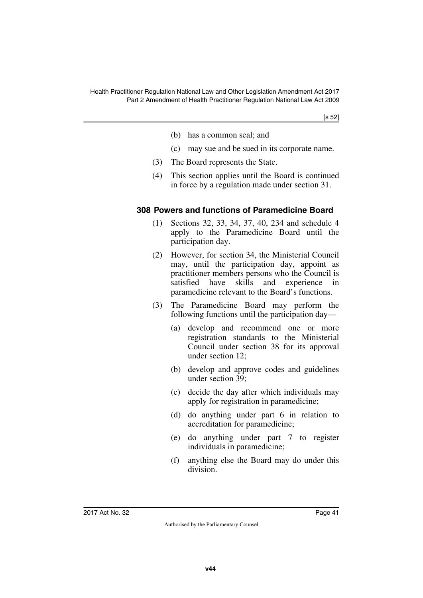[s 52]

- (b) has a common seal; and
- (c) may sue and be sued in its corporate name.
- (3) The Board represents the State.
- (4) This section applies until the Board is continued in force by a regulation made under section 31.

#### **308 Powers and functions of Paramedicine Board**

- (1) Sections 32, 33, 34, 37, 40, 234 and schedule 4 apply to the Paramedicine Board until the participation day.
- (2) However, for section 34, the Ministerial Council may, until the participation day, appoint as practitioner members persons who the Council is satisfied have skills and experience in paramedicine relevant to the Board's functions.
- (3) The Paramedicine Board may perform the following functions until the participation day—
	- (a) develop and recommend one or more registration standards to the Ministerial Council under section 38 for its approval under section 12;
	- (b) develop and approve codes and guidelines under section 39;
	- (c) decide the day after which individuals may apply for registration in paramedicine;
	- (d) do anything under part 6 in relation to accreditation for paramedicine;
	- (e) do anything under part 7 to register individuals in paramedicine;
	- (f) anything else the Board may do under this division.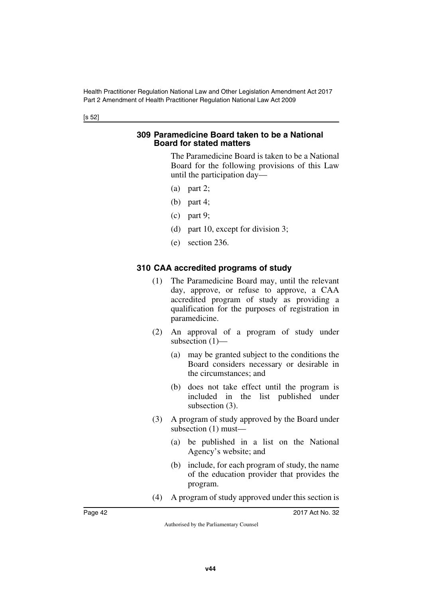[s 52]

#### **309 Paramedicine Board taken to be a National Board for stated matters**

The Paramedicine Board is taken to be a National Board for the following provisions of this Law until the participation day—

- (a) part 2;
- (b) part 4;
- (c) part 9;
- (d) part 10, except for division 3;
- (e) section 236.

#### **310 CAA accredited programs of study**

- (1) The Paramedicine Board may, until the relevant day, approve, or refuse to approve, a CAA accredited program of study as providing a qualification for the purposes of registration in paramedicine.
- (2) An approval of a program of study under subsection (1)—
	- (a) may be granted subject to the conditions the Board considers necessary or desirable in the circumstances; and
	- (b) does not take effect until the program is included in the list published under subsection (3).
- (3) A program of study approved by the Board under subsection (1) must—
	- (a) be published in a list on the National Agency's website; and
	- (b) include, for each program of study, the name of the education provider that provides the program.
- (4) A program of study approved under this section is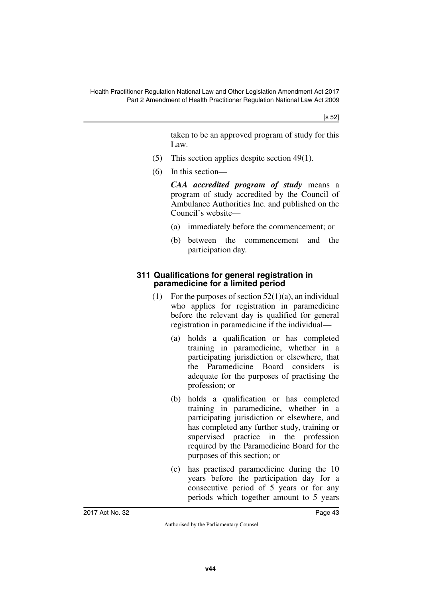[s 52]

taken to be an approved program of study for this Law.

- (5) This section applies despite section 49(1).
- (6) In this section—

*CAA accredited program of study* means a program of study accredited by the Council of Ambulance Authorities Inc. and published on the Council's website—

- (a) immediately before the commencement; or
- (b) between the commencement and the participation day.

## **311 Qualifications for general registration in paramedicine for a limited period**

- (1) For the purposes of section  $52(1)(a)$ , an individual who applies for registration in paramedicine before the relevant day is qualified for general registration in paramedicine if the individual—
	- (a) holds a qualification or has completed training in paramedicine, whether in a participating jurisdiction or elsewhere, that the Paramedicine Board considers is adequate for the purposes of practising the profession; or
	- (b) holds a qualification or has completed training in paramedicine, whether in a participating jurisdiction or elsewhere, and has completed any further study, training or supervised practice in the profession required by the Paramedicine Board for the purposes of this section; or
	- (c) has practised paramedicine during the 10 years before the participation day for a consecutive period of 5 years or for any periods which together amount to 5 years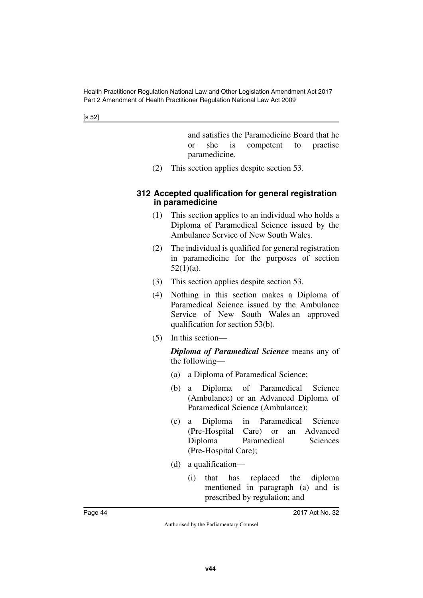[s 52]

and satisfies the Paramedicine Board that he or she is competent to practise paramedicine.

(2) This section applies despite section 53.

#### **312 Accepted qualification for general registration in paramedicine**

- (1) This section applies to an individual who holds a Diploma of Paramedical Science issued by the Ambulance Service of New South Wales.
- (2) The individual is qualified for general registration in paramedicine for the purposes of section  $52(1)(a)$ .
- (3) This section applies despite section 53.
- (4) Nothing in this section makes a Diploma of Paramedical Science issued by the Ambulance Service of New South Wales an approved qualification for section 53(b).
- (5) In this section—

*Diploma of Paramedical Science* means any of the following—

- (a) a Diploma of Paramedical Science;
- (b) a Diploma of Paramedical Science (Ambulance) or an Advanced Diploma of Paramedical Science (Ambulance);
- (c) a Diploma in Paramedical Science (Pre-Hospital Care) or an Advanced Diploma Paramedical Sciences (Pre-Hospital Care);
- (d) a qualification—
	- (i) that has replaced the diploma mentioned in paragraph (a) and is prescribed by regulation; and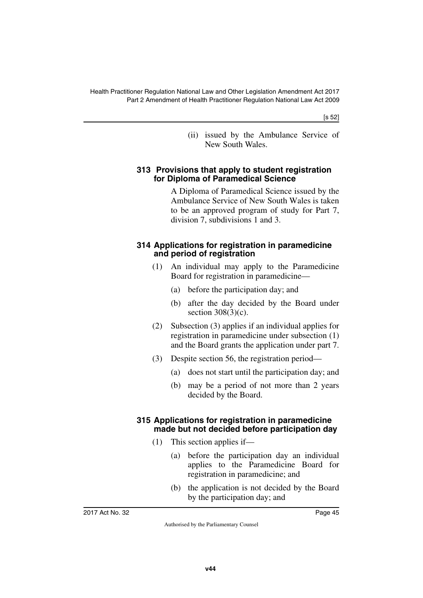[s 52]

(ii) issued by the Ambulance Service of New South Wales.

#### **313 Provisions that apply to student registration for Diploma of Paramedical Science**

A Diploma of Paramedical Science issued by the Ambulance Service of New South Wales is taken to be an approved program of study for Part 7, division 7, subdivisions 1 and 3.

#### **314 Applications for registration in paramedicine and period of registration**

- (1) An individual may apply to the Paramedicine Board for registration in paramedicine—
	- (a) before the participation day; and
	- (b) after the day decided by the Board under section  $308(3)(c)$ .
- (2) Subsection (3) applies if an individual applies for registration in paramedicine under subsection (1) and the Board grants the application under part 7.
- (3) Despite section 56, the registration period—
	- (a) does not start until the participation day; and
	- (b) may be a period of not more than 2 years decided by the Board.

### **315 Applications for registration in paramedicine made but not decided before participation day**

- (1) This section applies if—
	- (a) before the participation day an individual applies to the Paramedicine Board for registration in paramedicine; and
	- (b) the application is not decided by the Board by the participation day; and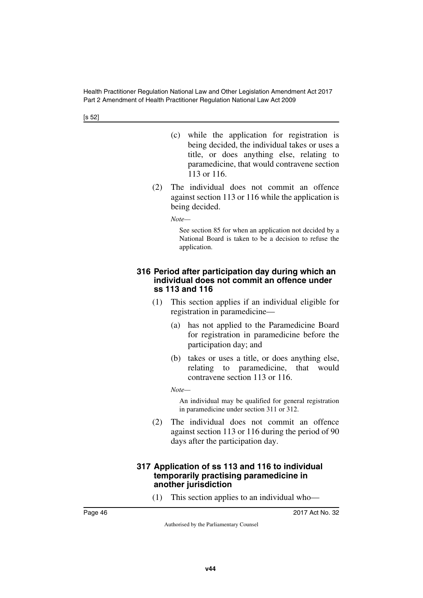[s 52]

- (c) while the application for registration is being decided, the individual takes or uses a title, or does anything else, relating to paramedicine, that would contravene section 113 or 116.
- (2) The individual does not commit an offence against section 113 or 116 while the application is being decided.

*Note—*

See section 85 for when an application not decided by a National Board is taken to be a decision to refuse the application.

#### **316 Period after participation day during which an individual does not commit an offence under ss 113 and 116**

- (1) This section applies if an individual eligible for registration in paramedicine—
	- (a) has not applied to the Paramedicine Board for registration in paramedicine before the participation day; and
	- (b) takes or uses a title, or does anything else, relating to paramedicine, that would contravene section 113 or 116.

*Note—*

An individual may be qualified for general registration in paramedicine under section 311 or 312.

(2) The individual does not commit an offence against section 113 or 116 during the period of 90 days after the participation day.

#### **317 Application of ss 113 and 116 to individual temporarily practising paramedicine in another jurisdiction**

(1) This section applies to an individual who—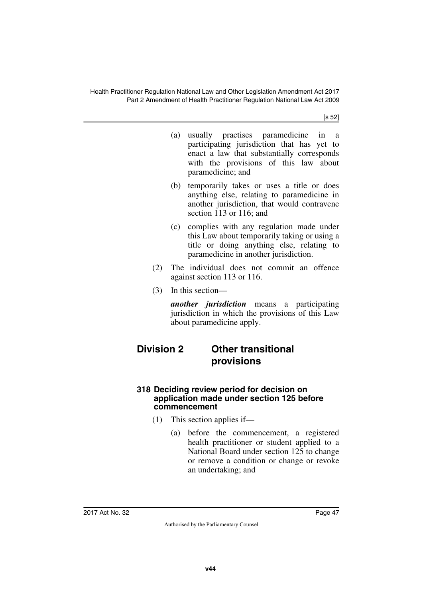[s 52]

- (a) usually practises paramedicine in a participating jurisdiction that has yet to enact a law that substantially corresponds with the provisions of this law about paramedicine; and
- (b) temporarily takes or uses a title or does anything else, relating to paramedicine in another jurisdiction, that would contravene section 113 or 116; and
- (c) complies with any regulation made under this Law about temporarily taking or using a title or doing anything else, relating to paramedicine in another jurisdiction.
- (2) The individual does not commit an offence against section 113 or 116.
- (3) In this section—

*another jurisdiction* means a participating jurisdiction in which the provisions of this Law about paramedicine apply.

# **Division 2 Other transitional provisions**

#### **318 Deciding review period for decision on application made under section 125 before commencement**

- (1) This section applies if—
	- (a) before the commencement, a registered health practitioner or student applied to a National Board under section 125 to change or remove a condition or change or revoke an undertaking; and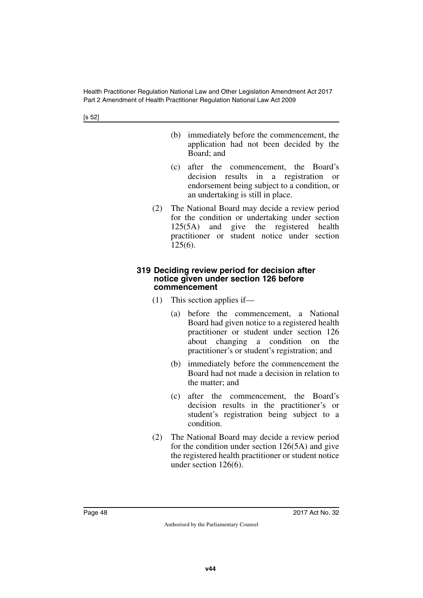[s 52]

- (b) immediately before the commencement, the application had not been decided by the Board; and
- (c) after the commencement, the Board's decision results in a registration or endorsement being subject to a condition, or an undertaking is still in place.
- (2) The National Board may decide a review period for the condition or undertaking under section 125(5A) and give the registered health practitioner or student notice under section 125(6).

#### **319 Deciding review period for decision after notice given under section 126 before commencement**

- (1) This section applies if—
	- (a) before the commencement, a National Board had given notice to a registered health practitioner or student under section 126 about changing a condition on the practitioner's or student's registration; and
	- (b) immediately before the commencement the Board had not made a decision in relation to the matter; and
	- (c) after the commencement, the Board's decision results in the practitioner's or student's registration being subject to a condition.
- (2) The National Board may decide a review period for the condition under section 126(5A) and give the registered health practitioner or student notice under section 126(6).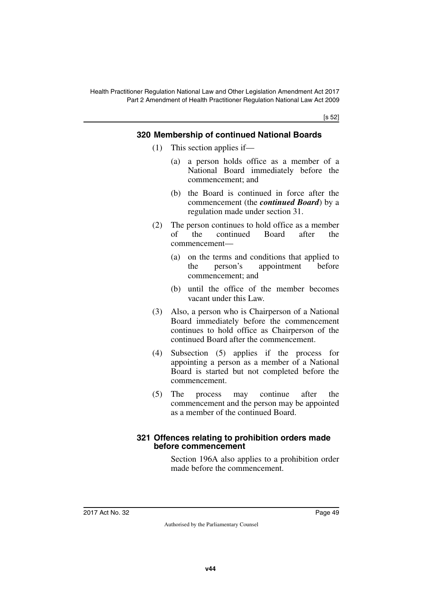[s 52]

## **320 Membership of continued National Boards**

- (1) This section applies if—
	- (a) a person holds office as a member of a National Board immediately before the commencement; and
	- (b) the Board is continued in force after the commencement (the *continued Board*) by a regulation made under section 31.
- (2) The person continues to hold office as a member of the continued Board after the commencement—
	- (a) on the terms and conditions that applied to the person's appointment before commencement; and
	- (b) until the office of the member becomes vacant under this Law.
- (3) Also, a person who is Chairperson of a National Board immediately before the commencement continues to hold office as Chairperson of the continued Board after the commencement.
- (4) Subsection (5) applies if the process for appointing a person as a member of a National Board is started but not completed before the commencement.
- (5) The process may continue after the commencement and the person may be appointed as a member of the continued Board.

#### **321 Offences relating to prohibition orders made before commencement**

Section 196A also applies to a prohibition order made before the commencement.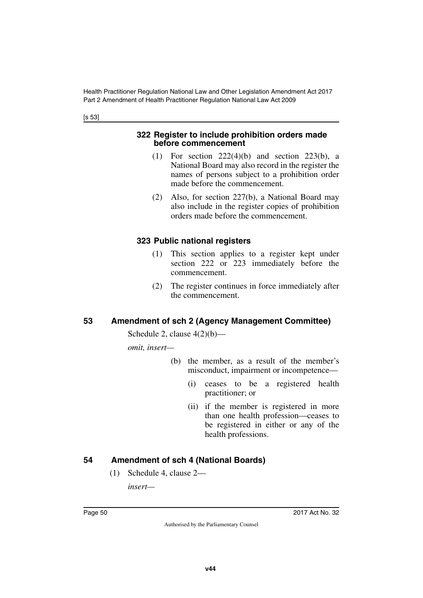[s 53]

#### **322 Register to include prohibition orders made before commencement**

- (1) For section 222(4)(b) and section 223(b), a National Board may also record in the register the names of persons subject to a prohibition order made before the commencement.
- (2) Also, for section 227(b), a National Board may also include in the register copies of prohibition orders made before the commencement.

## **323 Public national registers**

- (1) This section applies to a register kept under section 222 or 223 immediately before the commencement.
- (2) The register continues in force immediately after the commencement.

## **53 Amendment of sch 2 (Agency Management Committee)**

Schedule 2, clause  $4(2)(b)$ —

*omit, insert—*

- (b) the member, as a result of the member's misconduct, impairment or incompetence—
	- (i) ceases to be a registered health practitioner; or
	- (ii) if the member is registered in more than one health profession—ceases to be registered in either or any of the health professions.

## **54 Amendment of sch 4 (National Boards)**

(1) Schedule 4, clause 2—

*insert—*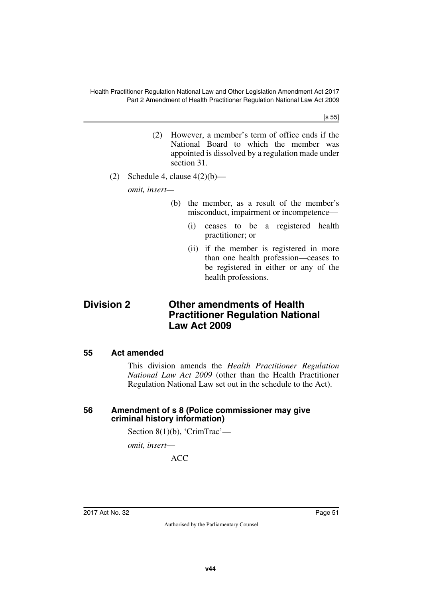[s 55]

- (2) However, a member's term of office ends if the National Board to which the member was appointed is dissolved by a regulation made under section 31.
- (2) Schedule 4, clause  $4(2)(b)$ —

*omit, insert—*

- (b) the member, as a result of the member's misconduct, impairment or incompetence—
	- (i) ceases to be a registered health practitioner; or
	- (ii) if the member is registered in more than one health profession—ceases to be registered in either or any of the health professions.

## **Division 2 Other amendments of Health Practitioner Regulation National Law Act 2009**

#### **55 Act amended**

This division amends the *Health Practitioner Regulation National Law Act 2009* (other than the Health Practitioner Regulation National Law set out in the schedule to the Act).

#### **56 Amendment of s 8 (Police commissioner may give criminal history information)**

Section 8(1)(b), 'CrimTrac'—

*omit, insert*—

ACC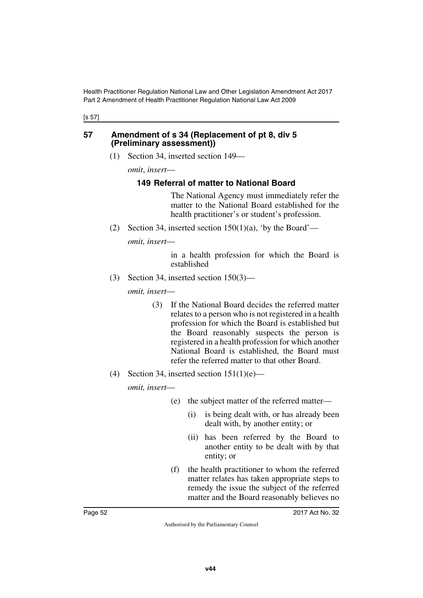#### [s 57]

#### **57 Amendment of s 34 (Replacement of pt 8, div 5 (Preliminary assessment))**

(1) Section 34, inserted section 149—

*omit*, *insert*—

#### **149 Referral of matter to National Board**

The National Agency must immediately refer the matter to the National Board established for the health practitioner's or student's profession.

(2) Section 34, inserted section  $150(1)(a)$ , 'by the Board'—

*omit, insert*—

in a health profession for which the Board is established

(3) Section 34, inserted section 150(3)—

*omit, insert*—

- (3) If the National Board decides the referred matter relates to a person who is not registered in a health profession for which the Board is established but the Board reasonably suspects the person is registered in a health profession for which another National Board is established, the Board must refer the referred matter to that other Board.
- (4) Section 34, inserted section  $151(1)(e)$ —

- (e) the subject matter of the referred matter—
	- (i) is being dealt with, or has already been dealt with, by another entity; or
	- (ii) has been referred by the Board to another entity to be dealt with by that entity; or
- (f) the health practitioner to whom the referred matter relates has taken appropriate steps to remedy the issue the subject of the referred matter and the Board reasonably believes no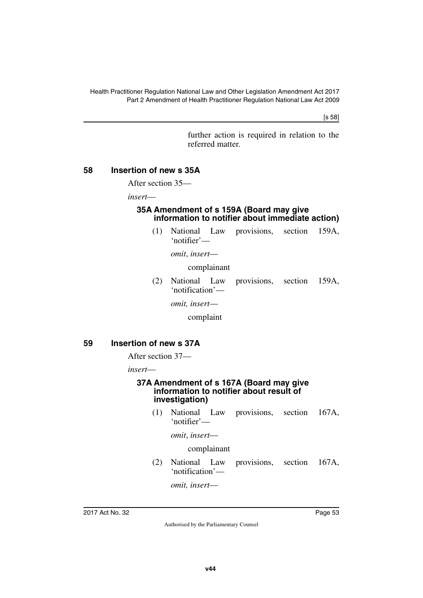[s 58]

further action is required in relation to the referred matter.

#### **58 Insertion of new s 35A**

After section 35—

*insert*—

#### **35A Amendment of s 159A (Board may give information to notifier about immediate action)**

(1) National Law provisions, section 159A, 'notifier'—

*omit*, *insert*—

complainant

(2) National Law provisions, section 159A, 'notification'—

*omit, insert*—

complaint

#### **59 Insertion of new s 37A**

After section 37—

*insert*—

#### **37A Amendment of s 167A (Board may give information to notifier about result of investigation)**

(1) National Law provisions, section 167A, 'notifier'—

*omit*, *insert*—

#### complainant

(2) National Law provisions, section 167A, 'notification'—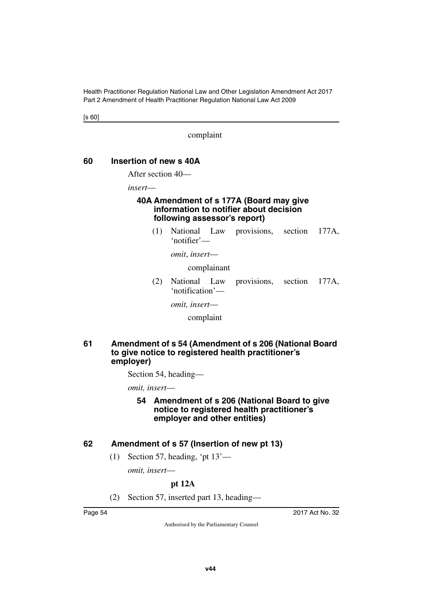[s 60]

complaint

#### **60 Insertion of new s 40A**

After section 40—

*insert*—

#### **40A Amendment of s 177A (Board may give information to notifier about decision following assessor's report)**

(1) National Law provisions, section 177A, 'notifier'—

*omit*, *insert*—

complainant

(2) National Law provisions, section 177A, 'notification'—

*omit, insert*—

complaint

#### **61 Amendment of s 54 (Amendment of s 206 (National Board to give notice to registered health practitioner's employer)**

Section 54, heading—

*omit, insert*—

**54 Amendment of s 206 (National Board to give notice to registered health practitioner's employer and other entities)**

### **62 Amendment of s 57 (Insertion of new pt 13)**

(1) Section 57, heading, 'pt 13'—

*omit, insert*—

### **pt 12A**

(2) Section 57, inserted part 13, heading—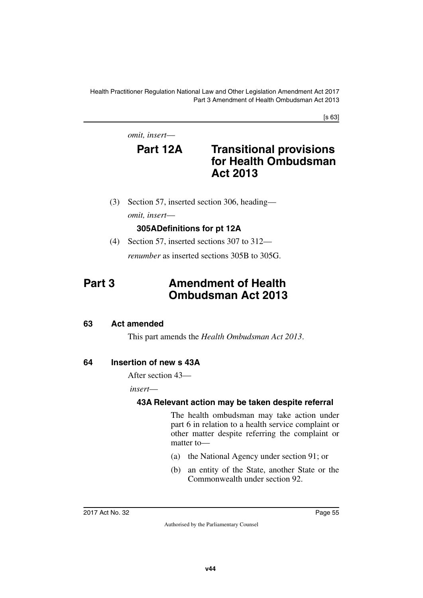[s 63]

*omit, insert*—

## **Part 12A Transitional provisions for Health Ombudsman Act 2013**

(3) Section 57, inserted section 306, heading *omit, insert*—

## **305ADefinitions for pt 12A**

(4) Section 57, inserted sections 307 to 312—

*renumber* as inserted sections 305B to 305G.

# **Part 3 Amendment of Health Ombudsman Act 2013**

### **63 Act amended**

This part amends the *Health Ombudsman Act 2013*.

## **64 Insertion of new s 43A**

After section 43—

*insert*—

## **43A Relevant action may be taken despite referral**

The health ombudsman may take action under part 6 in relation to a health service complaint or other matter despite referring the complaint or matter to—

- (a) the National Agency under section 91; or
- (b) an entity of the State, another State or the Commonwealth under section 92.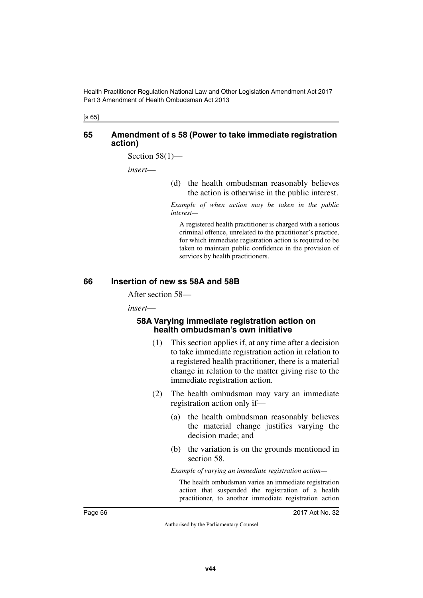[s 65]

#### **65 Amendment of s 58 (Power to take immediate registration action)**

Section  $58(1)$ —

*insert*—

(d) the health ombudsman reasonably believes the action is otherwise in the public interest.

*Example of when action may be taken in the public interest—*

A registered health practitioner is charged with a serious criminal offence, unrelated to the practitioner's practice, for which immediate registration action is required to be taken to maintain public confidence in the provision of services by health practitioners.

#### **66 Insertion of new ss 58A and 58B**

After section 58—

*insert*—

#### **58A Varying immediate registration action on health ombudsman's own initiative**

- (1) This section applies if, at any time after a decision to take immediate registration action in relation to a registered health practitioner, there is a material change in relation to the matter giving rise to the immediate registration action.
- (2) The health ombudsman may vary an immediate registration action only if—
	- (a) the health ombudsman reasonably believes the material change justifies varying the decision made; and
	- (b) the variation is on the grounds mentioned in section 58.

*Example of varying an immediate registration action—*

The health ombudsman varies an immediate registration action that suspended the registration of a health practitioner, to another immediate registration action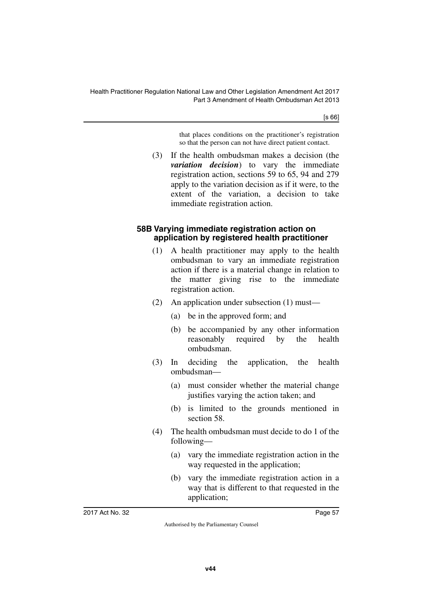[s 66]

that places conditions on the practitioner's registration so that the person can not have direct patient contact.

(3) If the health ombudsman makes a decision (the *variation decision*) to vary the immediate registration action, sections 59 to 65, 94 and 279 apply to the variation decision as if it were, to the extent of the variation, a decision to take immediate registration action.

#### **58B Varying immediate registration action on application by registered health practitioner**

- (1) A health practitioner may apply to the health ombudsman to vary an immediate registration action if there is a material change in relation to the matter giving rise to the immediate registration action.
- (2) An application under subsection (1) must—
	- (a) be in the approved form; and
	- (b) be accompanied by any other information reasonably required by the health ombudsman.
- (3) In deciding the application, the health ombudsman—
	- (a) must consider whether the material change justifies varying the action taken; and
	- (b) is limited to the grounds mentioned in section 58.
- (4) The health ombudsman must decide to do 1 of the following—
	- (a) vary the immediate registration action in the way requested in the application;
	- (b) vary the immediate registration action in a way that is different to that requested in the application;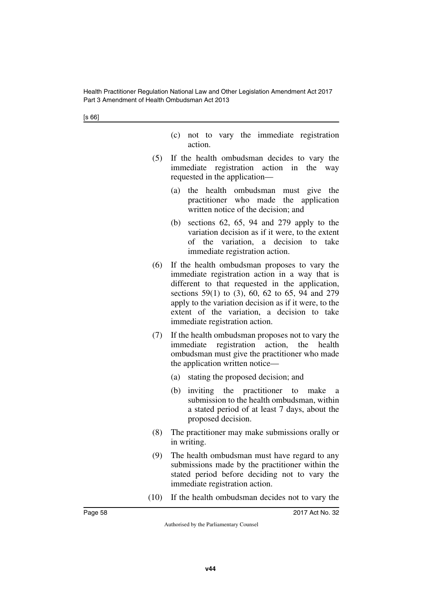- (c) not to vary the immediate registration action.
- (5) If the health ombudsman decides to vary the immediate registration action in the way requested in the application—
	- (a) the health ombudsman must give the practitioner who made the application written notice of the decision; and
	- (b) sections 62, 65, 94 and 279 apply to the variation decision as if it were, to the extent of the variation, a decision to take immediate registration action.
- (6) If the health ombudsman proposes to vary the immediate registration action in a way that is different to that requested in the application, sections 59(1) to (3), 60, 62 to 65, 94 and 279 apply to the variation decision as if it were, to the extent of the variation, a decision to take immediate registration action.
- (7) If the health ombudsman proposes not to vary the immediate registration action, the health ombudsman must give the practitioner who made the application written notice—
	- (a) stating the proposed decision; and
	- $(b)$  inviting the practitioner to make submission to the health ombudsman, within a stated period of at least 7 days, about the proposed decision.
- (8) The practitioner may make submissions orally or in writing.
- (9) The health ombudsman must have regard to any submissions made by the practitioner within the stated period before deciding not to vary the immediate registration action.
- (10) If the health ombudsman decides not to vary the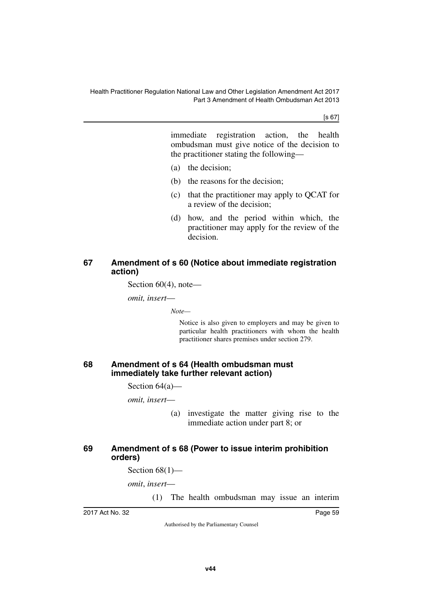[s 67]

immediate registration action, the health ombudsman must give notice of the decision to the practitioner stating the following—

- (a) the decision;
- (b) the reasons for the decision;
- (c) that the practitioner may apply to QCAT for a review of the decision;
- (d) how, and the period within which, the practitioner may apply for the review of the decision.

### **67 Amendment of s 60 (Notice about immediate registration action)**

Section 60(4), note—

*omit, insert*—

*Note—*

Notice is also given to employers and may be given to particular health practitioners with whom the health practitioner shares premises under section 279.

#### **68 Amendment of s 64 (Health ombudsman must immediately take further relevant action)**

Section 64(a)—

*omit, insert*—

(a) investigate the matter giving rise to the immediate action under part 8; or

### **69 Amendment of s 68 (Power to issue interim prohibition orders)**

Section  $68(1)$ —

*omit*, *insert*—

(1) The health ombudsman may issue an interim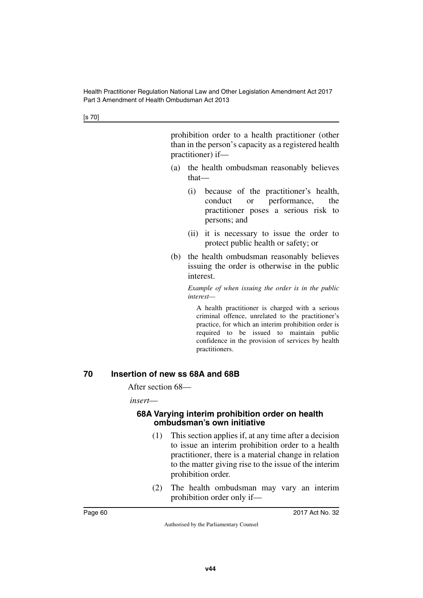prohibition order to a health practitioner (other than in the person's capacity as a registered health practitioner) if—

- (a) the health ombudsman reasonably believes that—
	- (i) because of the practitioner's health, conduct or performance, the practitioner poses a serious risk to persons; and
	- (ii) it is necessary to issue the order to protect public health or safety; or
- (b) the health ombudsman reasonably believes issuing the order is otherwise in the public interest.

*Example of when issuing the order is in the public interest—*

A health practitioner is charged with a serious criminal offence, unrelated to the practitioner's practice, for which an interim prohibition order is required to be issued to maintain public confidence in the provision of services by health practitioners.

#### **70 Insertion of new ss 68A and 68B**

After section 68—

*insert*—

#### **68A Varying interim prohibition order on health ombudsman's own initiative**

- (1) This section applies if, at any time after a decision to issue an interim prohibition order to a health practitioner, there is a material change in relation to the matter giving rise to the issue of the interim prohibition order.
- (2) The health ombudsman may vary an interim prohibition order only if—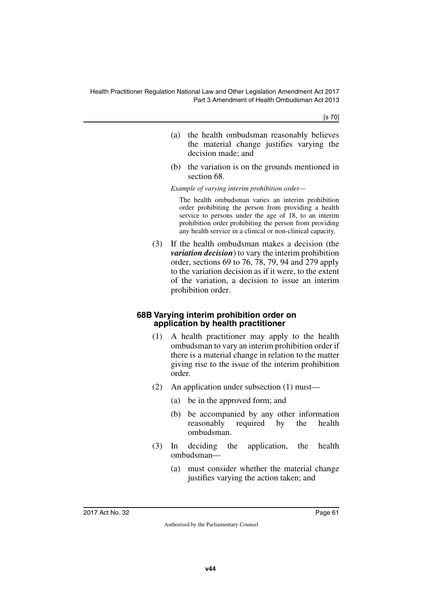[s 70]

- (a) the health ombudsman reasonably believes the material change justifies varying the decision made; and
- (b) the variation is on the grounds mentioned in section 68.

*Example of varying interim prohibition order—*

The health ombudsman varies an interim prohibition order prohibiting the person from providing a health service to persons under the age of 18, to an interim prohibition order prohibiting the person from providing any health service in a clinical or non-clinical capacity.

(3) If the health ombudsman makes a decision (the *variation decision*) to vary the interim prohibition order, sections 69 to 76, 78, 79, 94 and 279 apply to the variation decision as if it were, to the extent of the variation, a decision to issue an interim prohibition order.

#### **68B Varying interim prohibition order on application by health practitioner**

- (1) A health practitioner may apply to the health ombudsman to vary an interim prohibition order if there is a material change in relation to the matter giving rise to the issue of the interim prohibition order.
- (2) An application under subsection (1) must—
	- (a) be in the approved form; and
	- (b) be accompanied by any other information reasonably required by the health ombudsman.
- (3) In deciding the application, the health ombudsman—
	- (a) must consider whether the material change justifies varying the action taken; and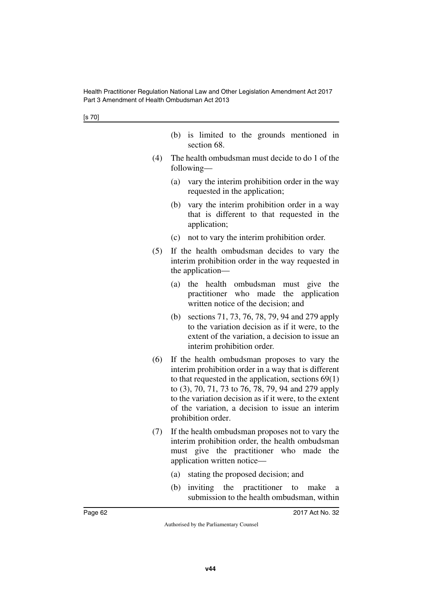|  |             |  | (b) is limited to the grounds mentioned in |  |
|--|-------------|--|--------------------------------------------|--|
|  | section 68. |  |                                            |  |

- (4) The health ombudsman must decide to do 1 of the following—
	- (a) vary the interim prohibition order in the way requested in the application;
	- (b) vary the interim prohibition order in a way that is different to that requested in the application;
	- (c) not to vary the interim prohibition order.
- (5) If the health ombudsman decides to vary the interim prohibition order in the way requested in the application—
	- (a) the health ombudsman must give the practitioner who made the application written notice of the decision; and
	- (b) sections 71, 73, 76, 78, 79, 94 and 279 apply to the variation decision as if it were, to the extent of the variation, a decision to issue an interim prohibition order.
- (6) If the health ombudsman proposes to vary the interim prohibition order in a way that is different to that requested in the application, sections 69(1) to (3), 70, 71, 73 to 76, 78, 79, 94 and 279 apply to the variation decision as if it were, to the extent of the variation, a decision to issue an interim prohibition order.
- (7) If the health ombudsman proposes not to vary the interim prohibition order, the health ombudsman must give the practitioner who made the application written notice—
	- (a) stating the proposed decision; and
	- (b) inviting the practitioner to make a submission to the health ombudsman, within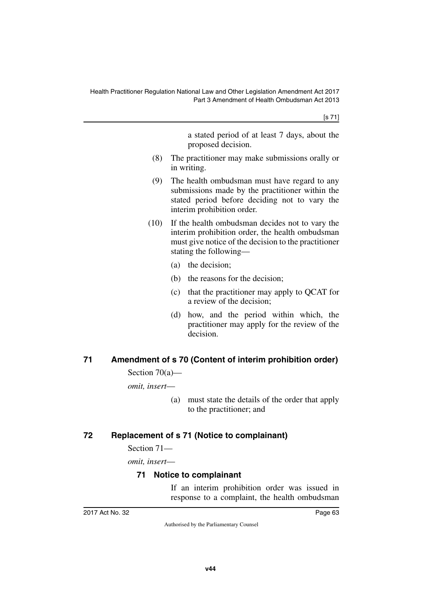[s 71]

a stated period of at least 7 days, about the proposed decision.

- (8) The practitioner may make submissions orally or in writing.
- (9) The health ombudsman must have regard to any submissions made by the practitioner within the stated period before deciding not to vary the interim prohibition order.
- (10) If the health ombudsman decides not to vary the interim prohibition order, the health ombudsman must give notice of the decision to the practitioner stating the following—
	- (a) the decision;
	- (b) the reasons for the decision;
	- (c) that the practitioner may apply to QCAT for a review of the decision;
	- (d) how, and the period within which, the practitioner may apply for the review of the decision.

## **71 Amendment of s 70 (Content of interim prohibition order)**

Section 70(a)—

*omit, insert*—

(a) must state the details of the order that apply to the practitioner; and

## **72 Replacement of s 71 (Notice to complainant)**

Section 71—

*omit, insert*—

## **71 Notice to complainant**

If an interim prohibition order was issued in response to a complaint, the health ombudsman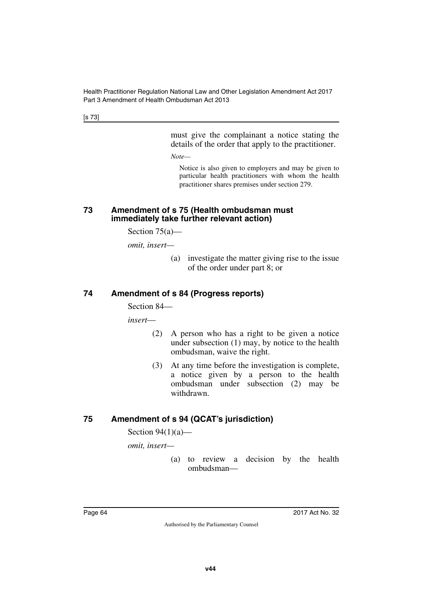[s 73]

must give the complainant a notice stating the details of the order that apply to the practitioner.

*Note—*

Notice is also given to employers and may be given to particular health practitioners with whom the health practitioner shares premises under section 279.

#### **73 Amendment of s 75 (Health ombudsman must immediately take further relevant action)**

Section 75(a)—

*omit, insert—*

(a) investigate the matter giving rise to the issue of the order under part 8; or

## **74 Amendment of s 84 (Progress reports)**

Section 84—

*insert*—

- (2) A person who has a right to be given a notice under subsection (1) may, by notice to the health ombudsman, waive the right.
- (3) At any time before the investigation is complete, a notice given by a person to the health ombudsman under subsection (2) may be withdrawn.

## **75 Amendment of s 94 (QCAT's jurisdiction)**

Section  $94(1)(a)$ —

*omit, insert—*

(a) to review a decision by the health ombudsman—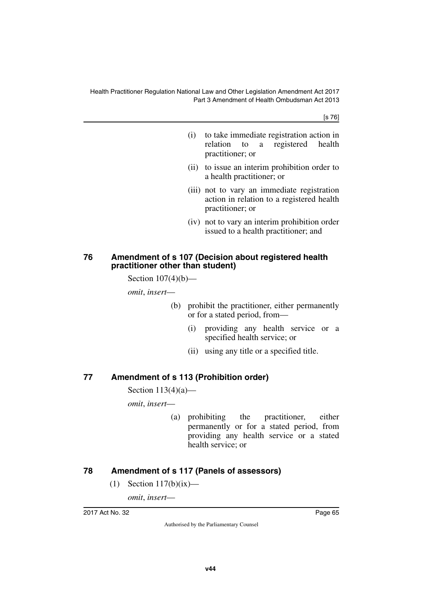[s 76]

- (i) to take immediate registration action in relation to a registered health practitioner; or
- (ii) to issue an interim prohibition order to a health practitioner; or
- (iii) not to vary an immediate registration action in relation to a registered health practitioner; or
- (iv) not to vary an interim prohibition order issued to a health practitioner; and

#### **76 Amendment of s 107 (Decision about registered health practitioner other than student)**

Section  $107(4)(b)$ —

*omit*, *insert*—

- (b) prohibit the practitioner, either permanently or for a stated period, from—
	- (i) providing any health service or a specified health service; or
	- (ii) using any title or a specified title.

### **77 Amendment of s 113 (Prohibition order)**

Section  $113(4)(a)$ —

*omit*, *insert*—

(a) prohibiting the practitioner, either permanently or for a stated period, from providing any health service or a stated health service; or

### **78 Amendment of s 117 (Panels of assessors)**

(1) Section  $117(b)(ix)$ —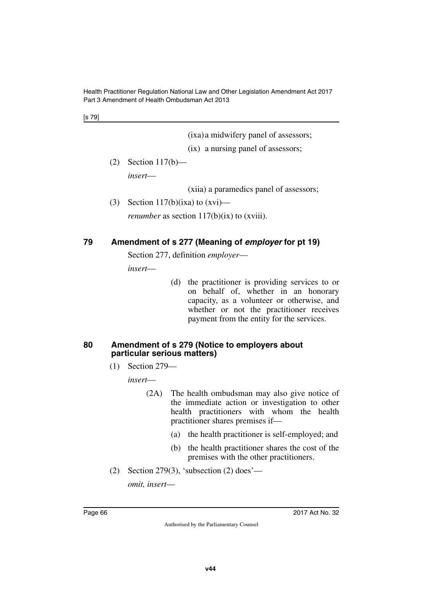[s 79]

(ixa)a midwifery panel of assessors;

(ix) a nursing panel of assessors;

(2) Section 117(b)—

*insert*—

(xiia) a paramedics panel of assessors;

(3) Section 117(b)(ixa) to  $(xvi)$ —

*renumber* as section 117(b)(ix) to (xviii).

#### **79 Amendment of s 277 (Meaning of** *employer* **for pt 19)**

Section 277, definition *employer*—

*insert*—

(d) the practitioner is providing services to or on behalf of, whether in an honorary capacity, as a volunteer or otherwise, and whether or not the practitioner receives payment from the entity for the services.

#### **80 Amendment of s 279 (Notice to employers about particular serious matters)**

(1) Section 279—

*insert*—

- (2A) The health ombudsman may also give notice of the immediate action or investigation to other health practitioners with whom the health practitioner shares premises if—
	- (a) the health practitioner is self-employed; and
	- (b) the health practitioner shares the cost of the premises with the other practitioners.
- (2) Section 279(3), 'subsection (2) does'—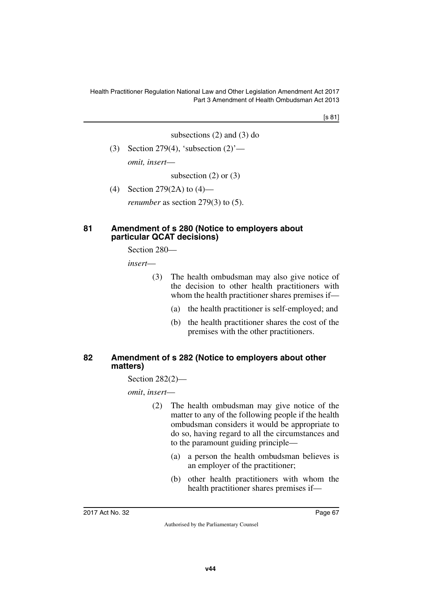[s 81]

subsections (2) and (3) do

(3) Section 279(4), 'subsection  $(2)$ ' *omit, insert*—

subsection  $(2)$  or  $(3)$ 

(4) Section 279(2A) to (4)—

*renumber* as section 279(3) to (5).

#### **81 Amendment of s 280 (Notice to employers about particular QCAT decisions)**

Section 280—

*insert*—

- (3) The health ombudsman may also give notice of the decision to other health practitioners with whom the health practitioner shares premises if—
	- (a) the health practitioner is self-employed; and
	- (b) the health practitioner shares the cost of the premises with the other practitioners.

#### **82 Amendment of s 282 (Notice to employers about other matters)**

Section 282(2)—

- (2) The health ombudsman may give notice of the matter to any of the following people if the health ombudsman considers it would be appropriate to do so, having regard to all the circumstances and to the paramount guiding principle—
	- (a) a person the health ombudsman believes is an employer of the practitioner;
	- (b) other health practitioners with whom the health practitioner shares premises if—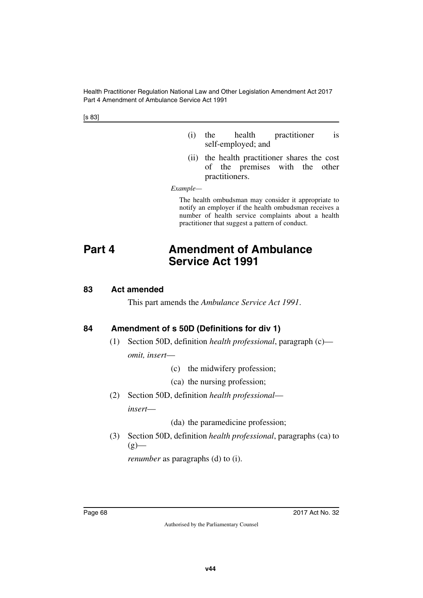Health Practitioner Regulation National Law and Other Legislation Amendment Act 2017 Part 4 Amendment of Ambulance Service Act 1991

[s 83]

- (i) the health practitioner is self-employed; and
- (ii) the health practitioner shares the cost of the premises with the other practitioners.

*Example—*

The health ombudsman may consider it appropriate to notify an employer if the health ombudsman receives a number of health service complaints about a health practitioner that suggest a pattern of conduct.

# **Part 4 Amendment of Ambulance Service Act 1991**

#### **83 Act amended**

This part amends the *Ambulance Service Act 1991*.

## **84 Amendment of s 50D (Definitions for div 1)**

- (1) Section 50D, definition *health professional*, paragraph (c) *omit, insert*—
	- (c) the midwifery profession;

(ca) the nursing profession;

(2) Section 50D, definition *health professional insert*—

(da) the paramedicine profession;

(3) Section 50D, definition *health professional*, paragraphs (ca) to  $(g)$ —

*renumber* as paragraphs (d) to (i).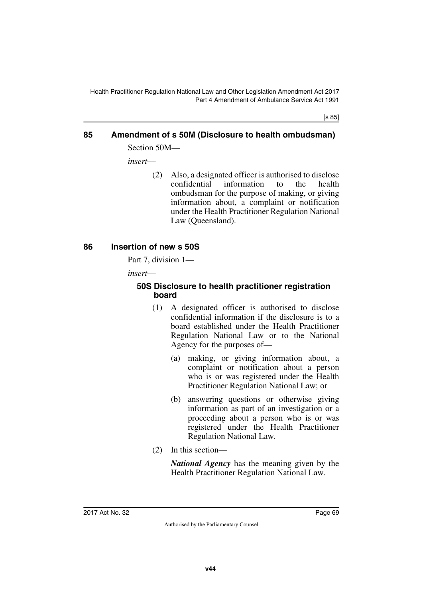[s 85]

## **85 Amendment of s 50M (Disclosure to health ombudsman)** Section 50M—

*insert*—

(2) Also, a designated officer is authorised to disclose confidential information to the health ombudsman for the purpose of making, or giving information about, a complaint or notification under the Health Practitioner Regulation National Law (Queensland).

## **86 Insertion of new s 50S**

Part 7, division 1—

*insert*—

#### **50S Disclosure to health practitioner registration board**

- (1) A designated officer is authorised to disclose confidential information if the disclosure is to a board established under the Health Practitioner Regulation National Law or to the National Agency for the purposes of—
	- (a) making, or giving information about, a complaint or notification about a person who is or was registered under the Health Practitioner Regulation National Law; or
	- (b) answering questions or otherwise giving information as part of an investigation or a proceeding about a person who is or was registered under the Health Practitioner Regulation National Law.
- (2) In this section—

*National Agency* has the meaning given by the Health Practitioner Regulation National Law.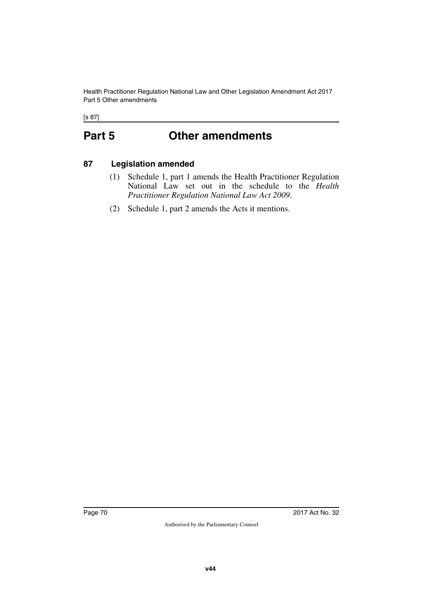Health Practitioner Regulation National Law and Other Legislation Amendment Act 2017 Part 5 Other amendments

[s 87]

# **Part 5 Other amendments**

## **87 Legislation amended**

- (1) Schedule 1, part 1 amends the Health Practitioner Regulation National Law set out in the schedule to the *Health Practitioner Regulation National Law Act 2009*.
- (2) Schedule 1, part 2 amends the Acts it mentions.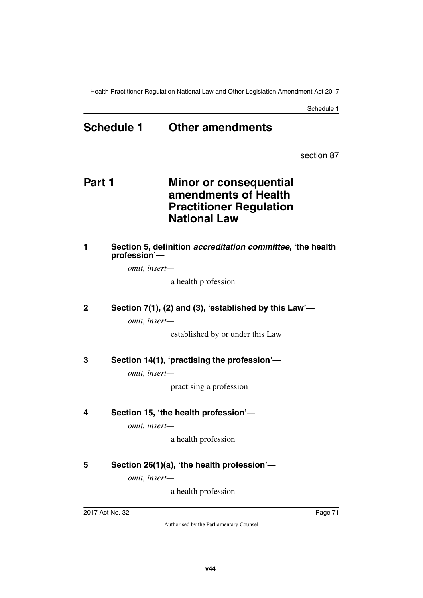Schedule 1

## **Schedule 1 Other amendments**

section 87

## **Part 1 Minor or consequential amendments of Health Practitioner Regulation National Law**

#### **1 Section 5, definition** *accreditation committee***, 'the health profession'—**

*omit, insert—*

a health profession

### **2 Section 7(1), (2) and (3), 'established by this Law'—**

*omit, insert—*

established by or under this Law

### **3 Section 14(1), 'practising the profession'—**

*omit, insert—*

practising a profession

### **4 Section 15, 'the health profession'—**

*omit, insert—*

a health profession

### **5 Section 26(1)(a), 'the health profession'—**

*omit, insert—*

a health profession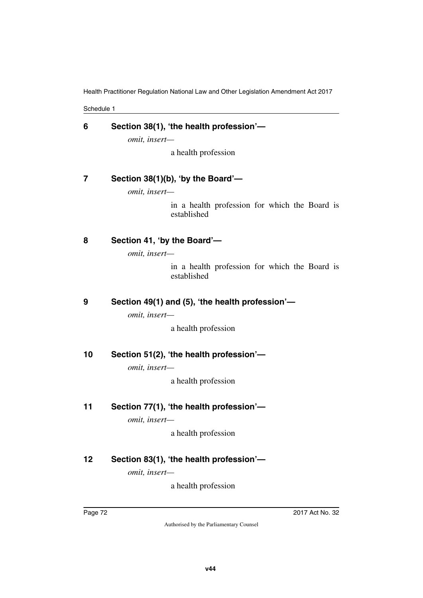Schedule 1

| 6  | Section 38(1), 'the health profession'-<br>omit, insert-     |
|----|--------------------------------------------------------------|
|    | a health profession                                          |
| 7  | Section 38(1)(b), 'by the Board'-                            |
|    | omit, insert-                                                |
|    | in a health profession for which the Board is<br>established |
| 8  | Section 41, 'by the Board'-                                  |
|    | omit, insert-                                                |
|    | in a health profession for which the Board is<br>established |
| 9  | Section 49(1) and (5), 'the health profession'-              |
|    | omit, insert-                                                |
|    | a health profession                                          |
| 10 | Section 51(2), 'the health profession'-                      |
|    | omit, insert-                                                |
|    | a health profession                                          |
| 11 | Section 77(1), 'the health profession'-                      |
|    | omit, insert-                                                |
|    | a health profession                                          |
| 12 | Section 83(1), 'the health profession'-                      |

*omit, insert—*

a health profession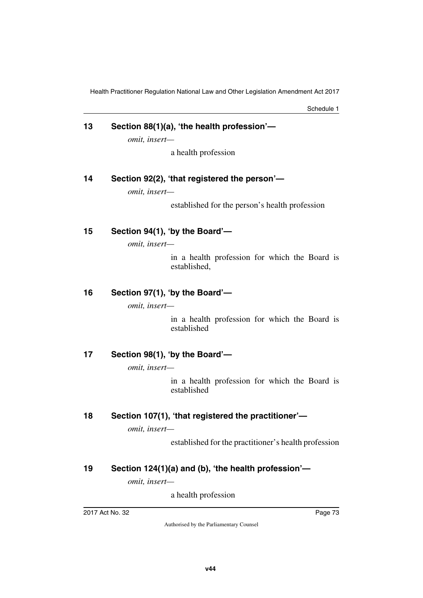Schedule 1

# **13 Section 88(1)(a), 'the health profession'—**

*omit, insert—*

a health profession

### **14 Section 92(2), 'that registered the person'—**

*omit, insert—*

established for the person's health profession

### **15 Section 94(1), 'by the Board'—**

*omit, insert—*

in a health profession for which the Board is established,

### **16 Section 97(1), 'by the Board'—**

*omit, insert—*

in a health profession for which the Board is established

### **17 Section 98(1), 'by the Board'—**

*omit, insert—*

in a health profession for which the Board is established

### **18 Section 107(1), 'that registered the practitioner'—**

*omit, insert—*

established for the practitioner's health profession

### **19 Section 124(1)(a) and (b), 'the health profession'—**

*omit, insert—*

a health profession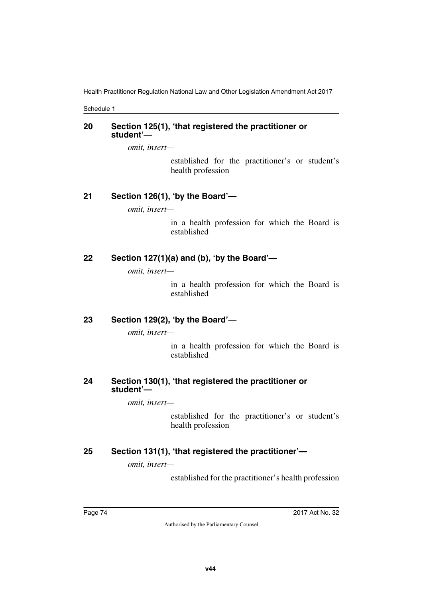Schedule 1

### **20 Section 125(1), 'that registered the practitioner or student'—**

*omit, insert—*

established for the practitioner's or student's health profession

### **21 Section 126(1), 'by the Board'—**

*omit, insert—*

in a health profession for which the Board is established

### **22 Section 127(1)(a) and (b), 'by the Board'—**

*omit, insert—*

in a health profession for which the Board is established

### **23 Section 129(2), 'by the Board'—**

*omit, insert—*

in a health profession for which the Board is established

### **24 Section 130(1), 'that registered the practitioner or student'—**

*omit, insert—*

established for the practitioner's or student's health profession

### **25 Section 131(1), 'that registered the practitioner'—**

*omit, insert—*

established for the practitioner's health profession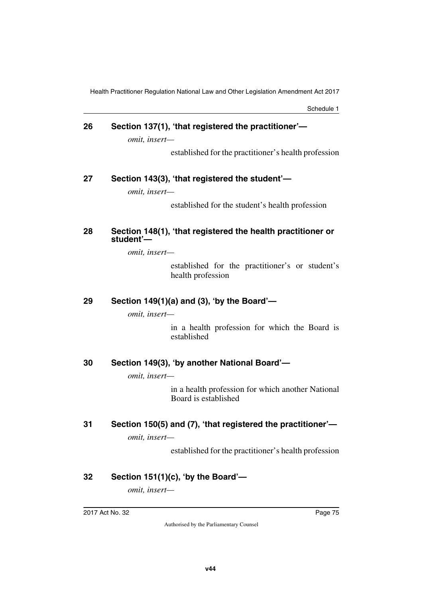Schedule 1

# **26 Section 137(1), 'that registered the practitioner'—**

*omit, insert—*

established for the practitioner's health profession

### **27 Section 143(3), 'that registered the student'—**

*omit, insert—*

established for the student's health profession

#### **28 Section 148(1), 'that registered the health practitioner or student'—**

*omit, insert—*

established for the practitioner's or student's health profession

### **29 Section 149(1)(a) and (3), 'by the Board'—**

*omit, insert—*

in a health profession for which the Board is established

### **30 Section 149(3), 'by another National Board'—**

*omit, insert—*

in a health profession for which another National Board is established

## **31 Section 150(5) and (7), 'that registered the practitioner'—**

*omit, insert—*

established for the practitioner's health profession

### **32 Section 151(1)(c), 'by the Board'—**

*omit, insert—*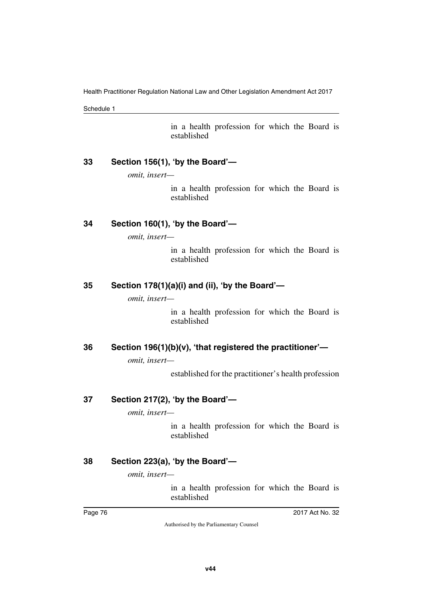Schedule 1

in a health profession for which the Board is established

### **33 Section 156(1), 'by the Board'—**

*omit, insert—*

in a health profession for which the Board is established

### **34 Section 160(1), 'by the Board'—**

*omit, insert—*

in a health profession for which the Board is established

### **35 Section 178(1)(a)(i) and (ii), 'by the Board'—**

*omit, insert—*

in a health profession for which the Board is established

### **36 Section 196(1)(b)(v), 'that registered the practitioner'—**

*omit, insert—*

established for the practitioner's health profession

### **37 Section 217(2), 'by the Board'—**

*omit, insert—*

in a health profession for which the Board is established

### **38 Section 223(a), 'by the Board'—**

*omit, insert—*

in a health profession for which the Board is established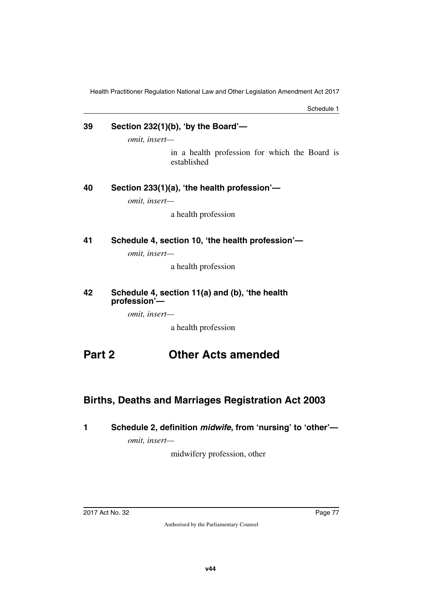Schedule 1

### **39 Section 232(1)(b), 'by the Board'—**

*omit, insert—*

in a health profession for which the Board is established

### **40 Section 233(1)(a), 'the health profession'—**

*omit, insert—*

a health profession

**41 Schedule 4, section 10, 'the health profession'—**

*omit, insert—*

a health profession

#### **42 Schedule 4, section 11(a) and (b), 'the health profession'—**

*omit, insert—*

a health profession

## **Part 2 Other Acts amended**

### **Births, Deaths and Marriages Registration Act 2003**

### **1 Schedule 2, definition** *midwife***, from 'nursing' to 'other'—**

*omit, insert—*

midwifery profession, other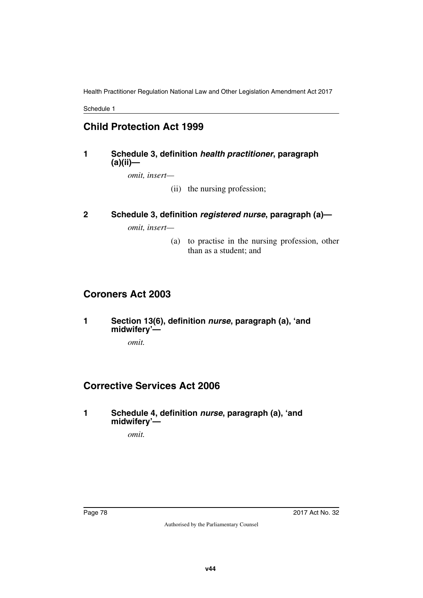Schedule 1

## **Child Protection Act 1999**

### **1 Schedule 3, definition** *health practitioner***, paragraph (a)(ii)—**

*omit, insert—*

(ii) the nursing profession;

### **2 Schedule 3, definition** *registered nurse***, paragraph (a)—**

*omit, insert—*

(a) to practise in the nursing profession, other than as a student; and

### **Coroners Act 2003**

**1 Section 13(6), definition** *nurse***, paragraph (a), 'and midwifery'—**

*omit.*

## **Corrective Services Act 2006**

**1 Schedule 4, definition** *nurse***, paragraph (a), 'and midwifery'—**

*omit.*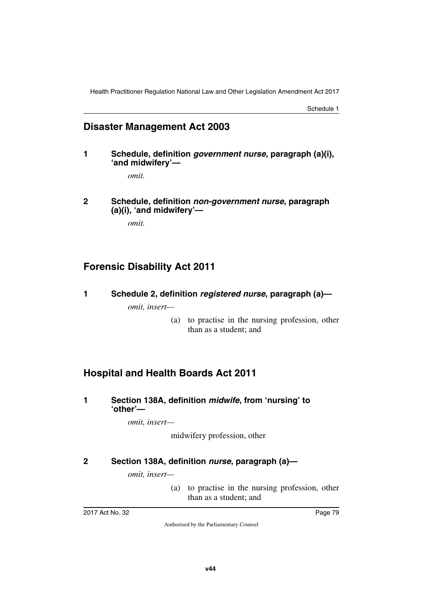Schedule 1

### **Disaster Management Act 2003**

**1 Schedule, definition** *government nurse***, paragraph (a)(i), 'and midwifery'—**

*omit.*

**2 Schedule, definition** *non-government nurse***, paragraph (a)(i), 'and midwifery'—**

*omit.*

## **Forensic Disability Act 2011**

**1 Schedule 2, definition** *registered nurse***, paragraph (a)—**

*omit, insert—*

(a) to practise in the nursing profession, other than as a student; and

## **Hospital and Health Boards Act 2011**

**1 Section 138A, definition** *midwife***, from 'nursing' to 'other'—**

*omit, insert—*

midwifery profession, other

### **2 Section 138A, definition** *nurse***, paragraph (a)—**

*omit, insert—*

(a) to practise in the nursing profession, other than as a student; and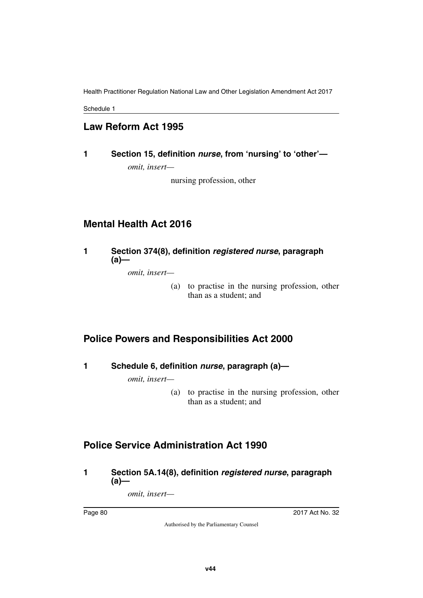Schedule 1

## **Law Reform Act 1995**

**1 Section 15, definition** *nurse***, from 'nursing' to 'other'** *omit, insert—*

nursing profession, other

## **Mental Health Act 2016**

### **1 Section 374(8), definition** *registered nurse***, paragraph (a)—**

*omit, insert—*

(a) to practise in the nursing profession, other than as a student; and

## **Police Powers and Responsibilities Act 2000**

**1 Schedule 6, definition** *nurse***, paragraph (a)—**

*omit, insert—*

(a) to practise in the nursing profession, other than as a student; and

## **Police Service Administration Act 1990**

**1 Section 5A.14(8), definition** *registered nurse***, paragraph (a)—**

*omit, insert—*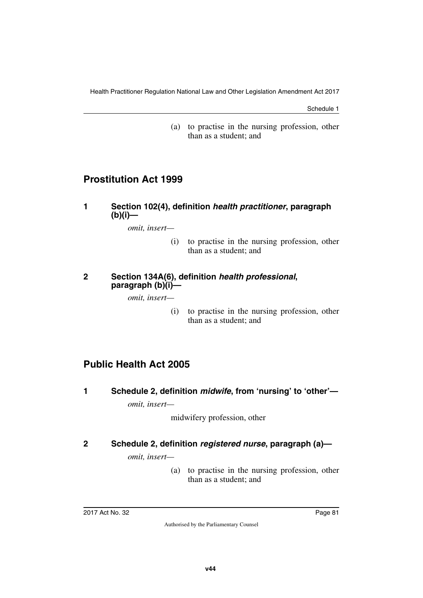Schedule 1

(a) to practise in the nursing profession, other than as a student; and

### **Prostitution Act 1999**

### **1 Section 102(4), definition** *health practitioner***, paragraph (b)(i)—**

*omit, insert—*

(i) to practise in the nursing profession, other than as a student; and

#### **2 Section 134A(6), definition** *health professional***, paragraph (b)(i)—**

*omit, insert—*

(i) to practise in the nursing profession, other than as a student; and

## **Public Health Act 2005**

**1 Schedule 2, definition** *midwife***, from 'nursing' to 'other'** *omit, insert—*

midwifery profession, other

### **2 Schedule 2, definition** *registered nurse***, paragraph (a)—**

*omit, insert—*

(a) to practise in the nursing profession, other than as a student; and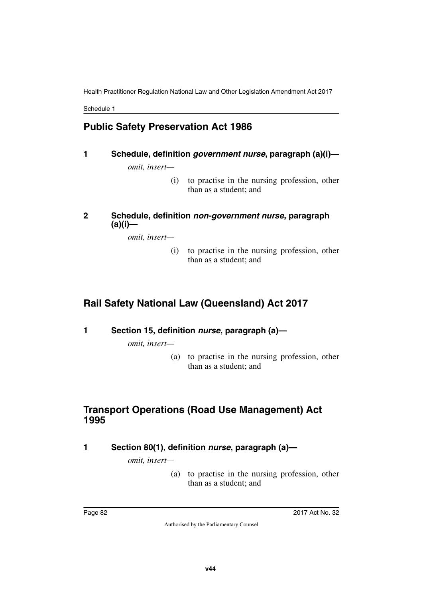Schedule 1

## **Public Safety Preservation Act 1986**

### **1 Schedule, definition** *government nurse***, paragraph (a)(i)—**

*omit, insert—*

(i) to practise in the nursing profession, other than as a student; and

### **2 Schedule, definition** *non-government nurse***, paragraph (a)(i)—**

*omit, insert—*

(i) to practise in the nursing profession, other than as a student; and

## **Rail Safety National Law (Queensland) Act 2017**

**1 Section 15, definition** *nurse***, paragraph (a)—**

*omit, insert—*

(a) to practise in the nursing profession, other than as a student; and

## **Transport Operations (Road Use Management) Act 1995**

**1 Section 80(1), definition** *nurse***, paragraph (a)—**

*omit, insert—*

(a) to practise in the nursing profession, other than as a student; and